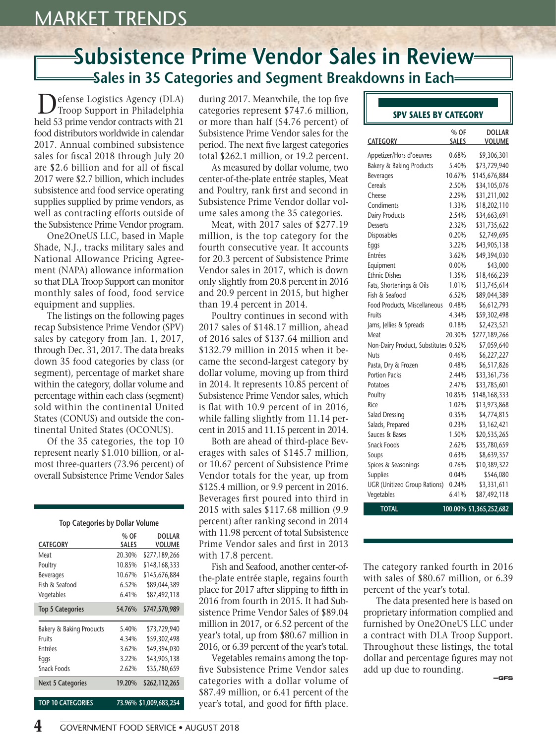#### **Subsistence Prime Vendor Sales in Review Sales in 35 Categories and Segment Breakdowns in Each**

Defense Logistics Agency (DLA) Troop Support in Philadelphia held 53 prime vendor contracts with 21 food distributors worldwide in calendar 2017. Annual combined subsistence sales for fiscal 2018 through July 20 are \$2.6 billion and for all of fiscal 2017 were \$2.7 billion, which includes subsistence and food service operating supplies supplied by prime vendors, as well as contracting efforts outside of the Subsistence Prime Vendor program.

One2OneUS LLC, based in Maple Shade, N.J., tracks military sales and National Allowance Pricing Agreement (NAPA) allowance information so that DLA Troop Support can monitor monthly sales of food, food service equipment and supplies.

The listings on the following pages recap Subsistence Prime Vendor (SPV) sales by category from Jan. 1, 2017, through Dec. 31, 2017. The data breaks down 35 food categories by class (or segment), percentage of market share within the category, dollar volume and percentage within each class (segment) sold within the continental United States (CONUS) and outside the continental United States (OCONUS).

Of the 35 categories, the top 10 represent nearly \$1.010 billion, or almost three-quarters (73.96 percent) of overall Subsistence Prime Vendor Sales

#### **Top Categories by Dollar Volume**

| <b>CATEGORY</b>                     | % OF<br><b>SALES</b> | <b>DOLLAR</b><br><b>VOLUME</b> |
|-------------------------------------|----------------------|--------------------------------|
| Meat                                | 20.30%               | \$277,189,266                  |
| Poultry                             | 10.85%               | \$148,168,333                  |
| <b>Beverages</b>                    | 10.67%               | \$145,676,884                  |
| Fish & Seafood                      | 6.52%                | \$89,044,389                   |
| Vegetables                          | 6.41%                | \$87,492,118                   |
| <b>Top 5 Categories</b>             | 54.76%               | \$747,570,989                  |
|                                     |                      |                                |
|                                     |                      |                                |
| <b>Bakery &amp; Baking Products</b> | 5.40%                | \$73,729,940                   |
| Fruits                              | 4.34%                | \$59,302,498                   |
| <b>Fntrées</b>                      | 3.62%                | \$49,394,030                   |
| Eggs                                | 3.22%                | \$43,905,138                   |
| Snack Foods                         | 2.62%                | \$35,780,659                   |
| <b>Next 5 Categories</b>            | 19.20%               | \$262,112,265                  |

during 2017. Meanwhile, the top five categories represent \$747.6 million, or more than half (54.76 percent) of Subsistence Prime Vendor sales for the period. The next five largest categories total \$262.1 million, or 19.2 percent.

As measured by dollar volume, two center-of-the-plate entrée staples, Meat and Poultry, rank first and second in Subsistence Prime Vendor dollar volume sales among the 35 categories.

Meat, with 2017 sales of \$277.19 million, is the top category for the fourth consecutive year. It accounts for 20.3 percent of Subsistence Prime Vendor sales in 2017, which is down only slightly from 20.8 percent in 2016 and 20.9 percent in 2015, but higher than 19.4 percent in 2014.

Poultry continues in second with 2017 sales of \$148.17 million, ahead of 2016 sales of \$137.64 million and \$132.79 million in 2015 when it became the second-largest category by dollar volume, moving up from third in 2014. It represents 10.85 percent of Subsistence Prime Vendor sales, which is flat with 10.9 percent of in 2016, while falling slightly from 11.14 percent in 2015 and 11.15 percent in 2014.

Both are ahead of third-place Beverages with sales of \$145.7 million, or 10.67 percent of Subsistence Prime Vendor totals for the year, up from \$125.4 million, or 9.9 percent in 2016. Beverages first poured into third in 2015 with sales \$117.68 million (9.9 percent) after ranking second in 2014 with 11.98 percent of total Subsistence Prime Vendor sales and first in 2013 with 17.8 percent.

Fish and Seafood, another center-ofthe-plate entrée staple, regains fourth place for 2017 after slipping to fifth in 2016 from fourth in 2015. It had Subsistence Prime Vendor Sales of \$89.04 million in 2017, or 6.52 percent of the year's total, up from \$80.67 million in 2016, or 6.39 percent of the year's total.

Vegetables remains among the topfive Subsistence Prime Vendor sales categories with a dollar volume of \$87.49 million, or 6.41 percent of the year's total, and good for fifth place.

#### **SPV SALES BY CATEGORY**

| <b>CATEGORY</b>                      | % OF<br><b>SALES</b> | <b>DOLLAR</b><br><b>VOLUME</b> |
|--------------------------------------|----------------------|--------------------------------|
| Appetizer/Hors d'oeuvres             | 0.68%                | \$9,306,301                    |
| <b>Bakery &amp; Baking Products</b>  | 5.40%                | \$73,729,940                   |
| <b>Beverages</b>                     | 10.67%               | \$145,676,884                  |
| Cereals                              | 2.50%                | \$34,105,076                   |
| Cheese                               | 2.29%                | \$31,211,002                   |
| Condiments                           | 1.33%                | \$18,202,110                   |
| Dairy Products                       | 2.54%                | \$34,663,691                   |
| <b>Desserts</b>                      | 2.32%                | \$31,735,622                   |
| <b>Disposables</b>                   | 0.20%                | \$2,749,695                    |
| Eggs                                 | 3.22%                | \$43,905,138                   |
| Entrées                              | 3.62%                | \$49,394,030                   |
| Equipment                            | $0.00\%$             | \$43,000                       |
| <b>Ethnic Dishes</b>                 | 1.35%                | \$18,466,239                   |
| Fats, Shortenings & Oils             | 1.01%                | \$13,745,614                   |
| Fish & Seafood                       | 6.52%                | \$89,044,389                   |
| Food Products, Miscellaneous         | 0.48%                | \$6,612,793                    |
| Fruits                               | 4.34%                | \$59,302,498                   |
| Jams, Jellies & Spreads              | 0.18%                | \$2,423,521                    |
| Meat                                 | 20.30%               | \$277,189,266                  |
| Non-Dairy Product, Substitutes 0.52% |                      | \$7,059,640                    |
| Nuts                                 | 0.46%                | \$6,227,227                    |
| Pasta, Dry & Frozen                  | 0.48%                | \$6,517,826                    |
| <b>Portion Packs</b>                 | 2.44%                | \$33,361,736                   |
| Potatoes                             | 2.47%                | \$33,785,601                   |
| Poultry                              | 10.85%               | \$148,168,333                  |
| Rice                                 | 1.02%                | \$13,973,868                   |
| Salad Dressing                       | 0.35%                | \$4,774,815                    |
| Salads, Prepared                     | 0.23%                | \$3,162,421                    |
| Sauces & Bases                       | 1.50%                | \$20,535,265                   |
| <b>Snack Foods</b>                   | 2.62%                | \$35,780,659                   |
| Soups                                | 0.63%                | \$8,639,357                    |
| Spices & Seasonings                  | 0.76%                | \$10,389,322                   |
| Supplies                             | 0.04%                | \$546,080                      |
| <b>UGR</b> (Unitized Group Rations)  | 0.24%                | \$3,331,611                    |
| Vegetables                           | 6.41%                | \$87,492,118                   |
| <b>TOTAL</b>                         |                      | 100.00% \$1,365,252,682        |

The category ranked fourth in 2016 with sales of \$80.67 million, or 6.39 percent of the year's total.

The data presented here is based on proprietary information complied and furnished by One2OneUS LLC under a contract with DLA Troop Support. Throughout these listings, the total dollar and percentage figures may not add up due to rounding.

 **—GFS**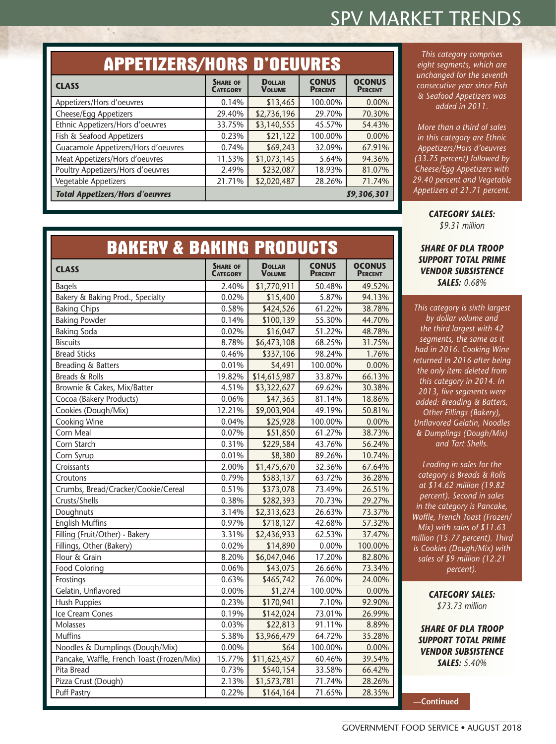| <b>APPETIZERS/HORS D'OEUVRES</b>       |                                    |                                |                                |                                 |
|----------------------------------------|------------------------------------|--------------------------------|--------------------------------|---------------------------------|
| <b>CLASS</b>                           | <b>SHARE OF</b><br><b>CATEGORY</b> | <b>DOLLAR</b><br><b>VOLUME</b> | <b>CONUS</b><br><b>PERCENT</b> | <b>OCONUS</b><br><b>PERCENT</b> |
| Appetizers/Hors d'oeuvres              | 0.14%                              | \$13,465                       | 100.00%                        | 0.00%                           |
| Cheese/Egg Appetizers                  | 29.40%                             | \$2,736,196                    | 29.70%                         | 70.30%                          |
| Ethnic Appetizers/Hors d'oeuvres       | 33.75%                             | \$3,140,555                    | 45.57%                         | 54.43%                          |
| Fish & Seafood Appetizers              | 0.23%                              | \$21,122                       | 100.00%                        | 0.00%                           |
| Guacamole Appetizers/Hors d'oeuvres    | 0.74%                              | \$69,243                       | 32.09%                         | 67.91%                          |
| Meat Appetizers/Hors d'oeuvres         | 11.53%                             | \$1,073,145                    | 5.64%                          | 94.36%                          |
| Poultry Appetizers/Hors d'oeuvres      | 2.49%                              | \$232,087                      | 18.93%                         | 81.07%                          |
| Vegetable Appetizers                   | 21.71%                             | \$2,020,487                    | 28.26%                         | 71.74%                          |
| <b>Total Appetizers/Hors d'oeuvres</b> |                                    |                                |                                | \$9,306,301                     |

*This category comprises eight segments, which are unchanged for the seventh consecutive year since Fish & Seafood Appetizers was added in 2011.*

*More than a third of sales in this category are Ethnic Appetizers/Hors d'oeuvres (33.75 percent) followed by Cheese/Egg Appetizers with 29.40 percent and Vegetable Appetizers at 21.71 percent.*

> *CATEGORY SALES: \$9.31 million*

#### *SHARE OF DLA TROOP SUPPORT TOTAL PRIME VENDOR SUBSISTENCE SALES: 0.68%*

*This category is sixth largest by dollar volume and the third largest with 42 segments, the same as it had in 2016. Cooking Wine returned in 2016 after being the only item deleted from this category in 2014. In 2013, five segments were added: Breading & Batters, Other Fillings (Bakery), Unflavored Gelatin, Noodles & Dumplings (Dough/Mix) and Tart Shells.*

*Leading in sales for the category is Breads & Rolls at \$14.62 million (19.82 percent). Second in sales in the category is Pancake, Waffle, French Toast (Frozen/ Mix) with sales of \$11.63 million (15.77 percent). Third is Cookies (Dough/Mix) with sales of \$9 million (12.21 percent).*

> *CATEGORY SALES: \$73.73 million*

*SHARE OF DLA TROOP SUPPORT TOTAL PRIME VENDOR SUBSISTENCE SALES: 5.40%*

**—Continued**

#### **BAKERY & BAKING PRODUCTS CLASS SHARE** OF **CATEGORY Dollar Volume CONUS PERCENT OCONUS PERCENT**

| <b>Bagels</b>                              | 2.40%  | \$1,770,911  | 50.48%  | 49.52%  |
|--------------------------------------------|--------|--------------|---------|---------|
| Bakery & Baking Prod., Specialty           | 0.02%  | \$15,400     | 5.87%   | 94.13%  |
| <b>Baking Chips</b>                        | 0.58%  | \$424,526    | 61.22%  | 38.78%  |
| <b>Baking Powder</b>                       | 0.14%  | \$100,139    | 55.30%  | 44.70%  |
| <b>Baking Soda</b>                         | 0.02%  | \$16,047     | 51.22%  | 48.78%  |
| <b>Biscuits</b>                            | 8.78%  | \$6,473,108  | 68.25%  | 31.75%  |
| <b>Bread Sticks</b>                        | 0.46%  | \$337,106    | 98.24%  | 1.76%   |
| <b>Breading &amp; Batters</b>              | 0.01%  | \$4,491      | 100.00% | 0.00%   |
| Breads & Rolls                             | 19.82% | \$14,615,987 | 33.87%  | 66.13%  |
| Brownie & Cakes, Mix/Batter                | 4.51%  | \$3,322,627  | 69.62%  | 30.38%  |
| Cocoa (Bakery Products)                    | 0.06%  | \$47,365     | 81.14%  | 18.86%  |
| Cookies (Dough/Mix)                        | 12.21% | \$9,003,904  | 49.19%  | 50.81%  |
| Cooking Wine                               | 0.04%  | \$25,928     | 100.00% | 0.00%   |
| Corn Meal                                  | 0.07%  | \$51,850     | 61.27%  | 38.73%  |
| Corn Starch                                | 0.31%  | \$229,584    | 43.76%  | 56.24%  |
| Corn Syrup                                 | 0.01%  | \$8,380      | 89.26%  | 10.74%  |
| Croissants                                 | 2.00%  | \$1,475,670  | 32.36%  | 67.64%  |
| Croutons                                   | 0.79%  | \$583,137    | 63.72%  | 36.28%  |
| Crumbs, Bread/Cracker/Cookie/Cereal        | 0.51%  | \$373,078    | 73.49%  | 26.51%  |
| Crusts/Shells                              | 0.38%  | \$282,393    | 70.73%  | 29.27%  |
| Doughnuts                                  | 3.14%  | \$2,313,623  | 26.63%  | 73.37%  |
| <b>English Muffins</b>                     | 0.97%  | \$718,127    | 42.68%  | 57.32%  |
| Filling (Fruit/Other) - Bakery             | 3.31%  | \$2,436,933  | 62.53%  | 37.47%  |
| Fillings, Other (Bakery)                   | 0.02%  | \$14,890     | 0.00%   | 100.00% |
| Flour & Grain                              | 8.20%  | \$6,047,046  | 17.20%  | 82.80%  |
| <b>Food Coloring</b>                       | 0.06%  | \$43,075     | 26.66%  | 73.34%  |
| Frostings                                  | 0.63%  | \$465,742    | 76.00%  | 24.00%  |
| Gelatin, Unflavored                        | 0.00%  | \$1,274      | 100.00% | 0.00%   |
| <b>Hush Puppies</b>                        | 0.23%  | \$170,941    | 7.10%   | 92.90%  |
| Ice Cream Cones                            | 0.19%  | \$142,024    | 73.01%  | 26.99%  |
| Molasses                                   | 0.03%  | \$22,813     | 91.11%  | 8.89%   |
| <b>Muffins</b>                             | 5.38%  | \$3,966,479  | 64.72%  | 35.28%  |
| Noodles & Dumplings (Dough/Mix)            | 0.00%  | \$64         | 100.00% | 0.00%   |
| Pancake, Waffle, French Toast (Frozen/Mix) | 15.77% | \$11,625,457 | 60.46%  | 39.54%  |
| Pita Bread                                 | 0.73%  | \$540,154    | 33.58%  | 66.42%  |
| Pizza Crust (Dough)                        | 2.13%  | \$1,573,781  | 71.74%  | 28.26%  |
| <b>Puff Pastry</b>                         | 0.22%  | \$164,164    | 71.65%  | 28.35%  |
|                                            |        |              |         |         |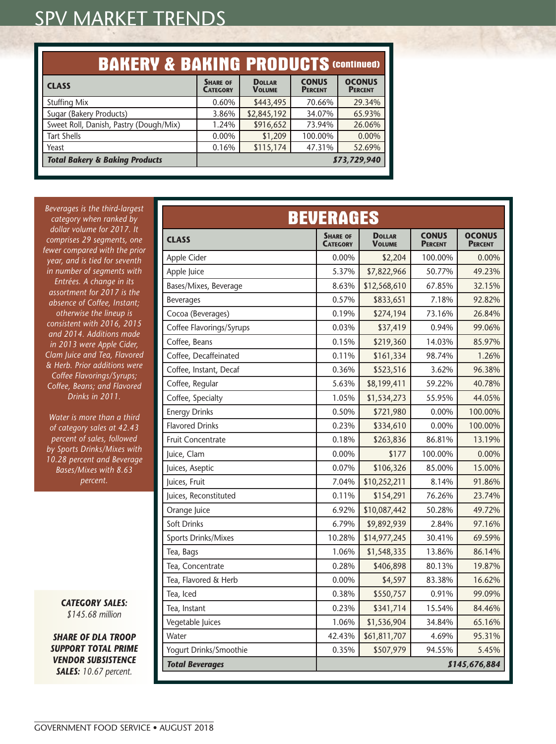| <b>BAKERY &amp; BAKING PRODUCTS (CONTINUED)</b> |                                    |                                |                                |                                 |
|-------------------------------------------------|------------------------------------|--------------------------------|--------------------------------|---------------------------------|
| <b>CLASS</b>                                    | <b>SHARE OF</b><br><b>CATEGORY</b> | <b>DOLLAR</b><br><b>VOLUME</b> | <b>CONUS</b><br><b>PERCENT</b> | <b>OCONUS</b><br><b>PERCENT</b> |
| <b>Stuffing Mix</b>                             | 0.60%                              | \$443,495                      | 70.66%                         | 29.34%                          |
| Sugar (Bakery Products)                         | 3.86%                              | \$2,845,192                    | 34.07%                         | 65.93%                          |
| Sweet Roll, Danish, Pastry (Dough/Mix)          | 1.24%                              | \$916,652                      | 73.94%                         | 26.06%                          |
| <b>Tart Shells</b>                              | 0.00%                              | \$1,209                        | 100.00%                        | 0.00%                           |
| Yeast                                           | 0.16%                              | \$115,174                      | 47.31%                         | 52.69%                          |
| <b>Total Bakery &amp; Baking Products</b>       |                                    |                                |                                | \$73,729,940                    |

*Beverages is the third-largest category when ranked by dollar volume for 2017. It comprises 29 segments, one fewer compared with the prior year, and is tied for seventh in number of segments with Entrées. A change in its assortment for 2017 is the absence of Coffee, Instant; otherwise the lineup is consistent with 2016, 2015 and 2014. Additions made in 2013 were Apple Cider, Clam Juice and Tea, Flavored & Herb. Prior additions were Coffee Flavorings/Syrups; Coffee, Beans; and Flavored Drinks in 2011.*

*Water is more than a third of category sales at 42.43 percent of sales, followed by Sports Drinks/Mixes with 10.28 percent and Beverage Bases/Mixes with 8.63 percent.*

> *CATEGORY SALES: \$145.68 million*

*SHARE OF DLA TROOP SUPPORT TOTAL PRIME VENDOR SUBSISTENCE SALES: 10.67 percent.*

| <b>BEVERAGES</b>         |                                    |                                |                                |                                 |
|--------------------------|------------------------------------|--------------------------------|--------------------------------|---------------------------------|
| <b>CLASS</b>             | <b>SHARE OF</b><br><b>CATEGORY</b> | <b>DOLLAR</b><br><b>VOLUME</b> | <b>CONUS</b><br><b>PERCENT</b> | <b>OCONUS</b><br><b>PERCENT</b> |
| Apple Cider              | 0.00%                              | \$2,204                        | 100.00%                        | 0.00%                           |
| Apple Juice              | 5.37%                              | \$7,822,966                    | 50.77%                         | 49.23%                          |
| Bases/Mixes, Beverage    | 8.63%                              | \$12,568,610                   | 67.85%                         | 32.15%                          |
| <b>Beverages</b>         | 0.57%                              | \$833,651                      | 7.18%                          | 92.82%                          |
| Cocoa (Beverages)        | 0.19%                              | \$274,194                      | 73.16%                         | 26.84%                          |
| Coffee Flavorings/Syrups | 0.03%                              | \$37,419                       | 0.94%                          | 99.06%                          |
| Coffee, Beans            | 0.15%                              | \$219,360                      | 14.03%                         | 85.97%                          |
| Coffee, Decaffeinated    | 0.11%                              | \$161,334                      | 98.74%                         | 1.26%                           |
| Coffee, Instant, Decaf   | 0.36%                              | \$523,516                      | 3.62%                          | 96.38%                          |
| Coffee, Regular          | 5.63%                              | \$8,199,411                    | 59.22%                         | 40.78%                          |
| Coffee, Specialty        | 1.05%                              | \$1,534,273                    | 55.95%                         | 44.05%                          |
| <b>Energy Drinks</b>     | 0.50%                              | \$721,980                      | 0.00%                          | 100.00%                         |
| <b>Flavored Drinks</b>   | 0.23%                              | \$334,610                      | 0.00%                          | 100.00%                         |
| <b>Fruit Concentrate</b> | 0.18%                              | \$263,836                      | 86.81%                         | 13.19%                          |
| Juice, Clam              | 0.00%                              | \$177                          | 100.00%                        | 0.00%                           |
| Juices, Aseptic          | 0.07%                              | \$106,326                      | 85.00%                         | 15.00%                          |
| Juices, Fruit            | 7.04%                              | \$10,252,211                   | 8.14%                          | 91.86%                          |
| Juices, Reconstituted    | 0.11%                              | \$154,291                      | 76.26%                         | 23.74%                          |
| Orange Juice             | 6.92%                              | \$10,087,442                   | 50.28%                         | 49.72%                          |
| Soft Drinks              | 6.79%                              | \$9,892,939                    | 2.84%                          | 97.16%                          |
| Sports Drinks/Mixes      | 10.28%                             | \$14,977,245                   | 30.41%                         | 69.59%                          |
| Tea, Bags                | 1.06%                              | \$1,548,335                    | 13.86%                         | 86.14%                          |
| Tea, Concentrate         | 0.28%                              | \$406,898                      | 80.13%                         | 19.87%                          |
| Tea, Flavored & Herb     | $0.00\%$                           | \$4,597                        | 83.38%                         | 16.62%                          |
| Tea, Iced                | 0.38%                              | \$550,757                      | 0.91%                          | 99.09%                          |
| Tea, Instant             | 0.23%                              | \$341,714                      | 15.54%                         | 84.46%                          |
| Vegetable Juices         | 1.06%                              | \$1,536,904                    | 34.84%                         | 65.16%                          |
| Water                    | 42.43%                             | \$61,811,707                   | 4.69%                          | 95.31%                          |
| Yogurt Drinks/Smoothie   | 0.35%                              | \$507,979                      | 94.55%                         | 5.45%                           |
| <b>Total Beverages</b>   |                                    |                                |                                | \$145,676,884                   |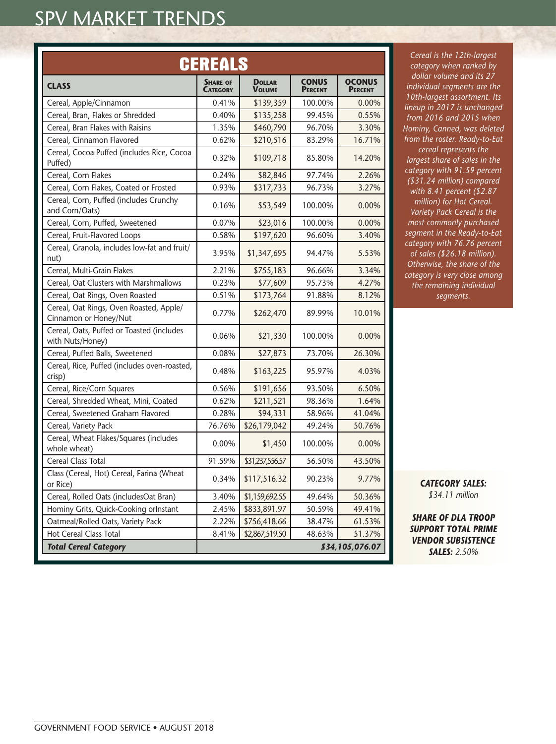| CEREALS                                                          |                                    |                                |                                |                                 |
|------------------------------------------------------------------|------------------------------------|--------------------------------|--------------------------------|---------------------------------|
| <b>CLASS</b>                                                     | <b>SHARE OF</b><br><b>CATEGORY</b> | <b>DOLLAR</b><br><b>VOLUME</b> | <b>CONUS</b><br><b>PERCENT</b> | <b>OCONUS</b><br><b>PERCENT</b> |
| Cereal, Apple/Cinnamon                                           | 0.41%                              | \$139,359                      | 100.00%                        | 0.00%                           |
| Cereal, Bran, Flakes or Shredded                                 | 0.40%                              | \$135,258                      | 99.45%                         | 0.55%                           |
| Cereal, Bran Flakes with Raisins                                 | 1.35%                              | \$460,790                      | 96.70%                         | 3.30%                           |
| Cereal, Cinnamon Flavored                                        | 0.62%                              | \$210,516                      | 83.29%                         | 16.71%                          |
| Cereal, Cocoa Puffed (includes Rice, Cocoa<br>Puffed)            | 0.32%                              | \$109,718                      | 85.80%                         | 14.20%                          |
| Cereal, Corn Flakes                                              | 0.24%                              | \$82,846                       | 97.74%                         | 2.26%                           |
| Cereal, Corn Flakes, Coated or Frosted                           | 0.93%                              | \$317,733                      | 96.73%                         | 3.27%                           |
| Cereal, Corn, Puffed (includes Crunchy<br>and Corn/Oats)         | 0.16%                              | \$53,549                       | 100.00%                        | 0.00%                           |
| Cereal, Corn, Puffed, Sweetened                                  | 0.07%                              | \$23,016                       | 100.00%                        | 0.00%                           |
| Cereal, Fruit-Flavored Loops                                     | 0.58%                              | \$197,620                      | 96.60%                         | 3.40%                           |
| Cereal, Granola, includes low-fat and fruit/<br>nut)             | 3.95%                              | \$1,347,695                    | 94.47%                         | 5.53%                           |
| Cereal, Multi-Grain Flakes                                       | 2.21%                              | \$755,183                      | 96.66%                         | 3.34%                           |
| Cereal, Oat Clusters with Marshmallows                           | 0.23%                              | \$77,609                       | 95.73%                         | 4.27%                           |
| Cereal, Oat Rings, Oven Roasted                                  | 0.51%                              | \$173,764                      | 91.88%                         | 8.12%                           |
| Cereal, Oat Rings, Oven Roasted, Apple/<br>Cinnamon or Honey/Nut | 0.77%                              | \$262,470                      | 89.99%                         | 10.01%                          |
| Cereal, Oats, Puffed or Toasted (includes<br>with Nuts/Honey)    | 0.06%                              | \$21,330                       | 100.00%                        | 0.00%                           |
| Cereal, Puffed Balls, Sweetened                                  | 0.08%                              | \$27,873                       | 73.70%                         | 26.30%                          |
| Cereal, Rice, Puffed (includes oven-roasted,<br>crisp)           | 0.48%                              | \$163,225                      | 95.97%                         | 4.03%                           |
| Cereal, Rice/Corn Squares                                        | 0.56%                              | \$191,656                      | 93.50%                         | 6.50%                           |
| Cereal, Shredded Wheat, Mini, Coated                             | 0.62%                              | \$211,521                      | 98.36%                         | 1.64%                           |
| Cereal, Sweetened Graham Flavored                                | 0.28%                              | \$94,331                       | 58.96%                         | 41.04%                          |
| Cereal, Variety Pack                                             | 76.76%                             | \$26,179,042                   | 49.24%                         | 50.76%                          |
| Cereal, Wheat Flakes/Squares (includes<br>whole wheat)           | 0.00%                              | \$1,450                        | 100.00%                        | 0.00%                           |
| Cereal Class Total                                               | 91.59%                             | \$31,237,556.57                | 56.50%                         | 43.50%                          |
| Class (Cereal, Hot) Cereal, Farina (Wheat<br>or Rice)            | 0.34%                              | \$117,516.32                   | 90.23%                         | 9.77%                           |
| Cereal, Rolled Oats (includesOat Bran)                           | 3.40%                              | \$1,159,692.55                 | 49.64%                         | 50.36%                          |
| Hominy Grits, Quick-Cooking orInstant                            | 2.45%                              | \$833,891.97                   | 50.59%                         | 49.41%                          |
| Oatmeal/Rolled Oats, Variety Pack                                | 2.22%                              | \$756,418.66                   | 38.47%                         | 61.53%                          |
| Hot Cereal Class Total                                           | 8.41%                              | \$2,867,519.50                 | 48.63%                         | 51.37%                          |
| <b>Total Cereal Category</b>                                     |                                    |                                |                                | \$34,105,076.07                 |

*Cereal is the 12th-largest category when ranked by dollar volume and its 27 individual segments are the 10th-largest assortment. Its lineup in 2017 is unchanged from 2016 and 2015 when Hominy, Canned, was deleted from the roster. Ready-to-Eat cereal represents the largest share of sales in the category with 91.59 percent (\$31.24 million) compared with 8.41 percent (\$2.87 million) for Hot Cereal. Variety Pack Cereal is the most commonly purchased segment in the Ready-to-Eat category with 76.76 percent of sales (\$26.18 million). Otherwise, the share of the category is very close among the remaining individual segments.*

> *CATEGORY SALES: \$34.11 million*

*SHARE OF DLA TROOP SUPPORT TOTAL PRIME VENDOR SUBSISTENCE SALES: 2.50%*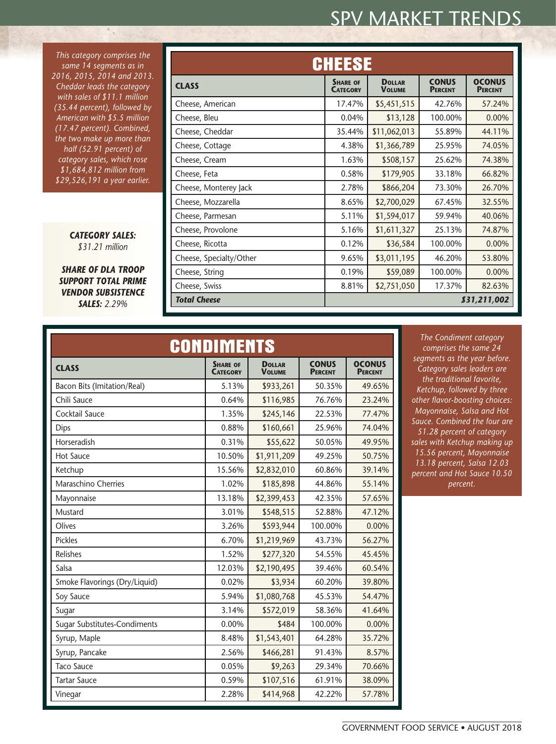*This category comprises the same 14 segments as in 2016, 2015, 2014 and 2013. Cheddar leads the category with sales of \$11.1 million (35.44 percent), followed by American with \$5.5 million (17.47 percent). Combined, the two make up more than half (52.91 percent) of category sales, which rose \$1,684,812 million from \$29,526,191 a year earlier.*

۰.

*CATEGORY SALES: \$31.21 million*

*SHARE OF DLA TROOP SUPPORT TOTAL PRIME VENDOR SUBSISTENCE SALES: 2.29%*

| <b>CHEESE</b>           |                                    |                                 |         |              |  |
|-------------------------|------------------------------------|---------------------------------|---------|--------------|--|
| <b>CLASS</b>            | <b>SHARE OF</b><br><b>CATEGORY</b> | <b>OCONUS</b><br><b>PERCENT</b> |         |              |  |
| Cheese, American        | 17.47%                             | \$5,451,515                     | 42.76%  | 57.24%       |  |
| Cheese, Bleu            | 0.04%                              | \$13,128                        | 100.00% | 0.00%        |  |
| Cheese, Cheddar         | 35.44%                             | \$11,062,013                    | 55.89%  | 44.11%       |  |
| Cheese, Cottage         | 4.38%                              | \$1,366,789                     | 25.95%  | 74.05%       |  |
| Cheese, Cream           | 1.63%                              | \$508,157                       | 25.62%  | 74.38%       |  |
| Cheese, Feta            | 0.58%                              | \$179,905                       | 33.18%  | 66.82%       |  |
| Cheese, Monterey Jack   | 2.78%                              | \$866,204                       | 73.30%  | 26.70%       |  |
| Cheese, Mozzarella      | 8.65%                              | \$2,700,029                     | 67.45%  | 32.55%       |  |
| Cheese, Parmesan        | 5.11%                              | \$1,594,017                     | 59.94%  | 40.06%       |  |
| Cheese, Provolone       | 5.16%                              | \$1,611,327                     | 25.13%  | 74.87%       |  |
| Cheese, Ricotta         | 0.12%                              | \$36,584                        | 100.00% | 0.00%        |  |
| Cheese, Specialty/Other | 9.65%                              | \$3,011,195                     | 46.20%  | 53.80%       |  |
| Cheese, String          | 0.19%                              | \$59,089                        | 100.00% | 0.00%        |  |
| Cheese, Swiss           | 8.81%                              | \$2,751,050                     | 17.37%  | 82.63%       |  |
| <b>Total Cheese</b>     |                                    |                                 |         | \$31,211,002 |  |

| <b>CONDIMENTS</b>             |                                    |                                |                                |                                 |  |  |
|-------------------------------|------------------------------------|--------------------------------|--------------------------------|---------------------------------|--|--|
| <b>CLASS</b>                  | <b>SHARE OF</b><br><b>CATEGORY</b> | <b>DOLLAR</b><br><b>VOLUME</b> | <b>CONUS</b><br><b>PERCENT</b> | <b>OCONUS</b><br><b>PERCENT</b> |  |  |
| Bacon Bits (Imitation/Real)   | 5.13%                              | \$933,261                      | 50.35%                         | 49.65%                          |  |  |
| Chili Sauce                   | 0.64%                              | \$116,985                      | 76.76%                         | 23.24%                          |  |  |
| Cocktail Sauce                | 1.35%                              | \$245,146                      | 22.53%                         | 77.47%                          |  |  |
| Dips                          | 0.88%                              | \$160,661                      | 25.96%                         | 74.04%                          |  |  |
| Horseradish                   | 0.31%                              | \$55,622                       | 50.05%                         | 49.95%                          |  |  |
| <b>Hot Sauce</b>              | 10.50%                             | \$1,911,209                    | 49.25%                         | 50.75%                          |  |  |
| Ketchup                       | 15.56%                             | \$2,832,010                    | 60.86%                         | 39.14%                          |  |  |
| Maraschino Cherries           | 1.02%                              | \$185,898                      | 44.86%                         | 55.14%                          |  |  |
| Mayonnaise                    | 13.18%                             | \$2,399,453                    | 42.35%                         | 57.65%                          |  |  |
| Mustard                       | 3.01%                              | \$548,515                      | 52.88%                         | 47.12%                          |  |  |
| Olives                        | 3.26%                              | \$593,944                      | 100.00%                        | 0.00%                           |  |  |
| <b>Pickles</b>                | 6.70%                              | \$1,219,969                    | 43.73%                         | 56.27%                          |  |  |
| Relishes                      | 1.52%                              | \$277,320                      | 54.55%                         | 45.45%                          |  |  |
| Salsa                         | 12.03%                             | \$2,190,495                    | 39.46%                         | 60.54%                          |  |  |
| Smoke Flavorings (Dry/Liquid) | 0.02%                              | \$3,934                        | 60.20%                         | 39.80%                          |  |  |
| Soy Sauce                     | 5.94%                              | \$1,080,768                    | 45.53%                         | 54.47%                          |  |  |
| Sugar                         | 3.14%                              | \$572,019                      | 58.36%                         | 41.64%                          |  |  |
| Sugar Substitutes-Condiments  | 0.00%                              | \$484                          | 100.00%                        | 0.00%                           |  |  |
| Syrup, Maple                  | 8.48%                              | \$1,543,401                    | 64.28%                         | 35.72%                          |  |  |
| Syrup, Pancake                | 2.56%                              | \$466,281                      | 91.43%                         | 8.57%                           |  |  |
| <b>Taco Sauce</b>             | 0.05%                              | \$9,263                        | 29.34%                         | 70.66%                          |  |  |
| <b>Tartar Sauce</b>           | 0.59%                              | \$107,516                      | 61.91%                         | 38.09%                          |  |  |
| Vinegar                       | 2.28%                              | \$414,968                      | 42.22%                         | 57.78%                          |  |  |

*The Condiment category comprises the same 24 segments as the year before. Category sales leaders are the traditional favorite, Ketchup, followed by three other flavor-boosting choices: Mayonnaise, Salsa and Hot Sauce. Combined the four are 51.28 percent of category sales with Ketchup making up 15.56 percent, Mayonnaise 13.18 percent, Salsa 12.03 percent and Hot Sauce 10.50 percent.*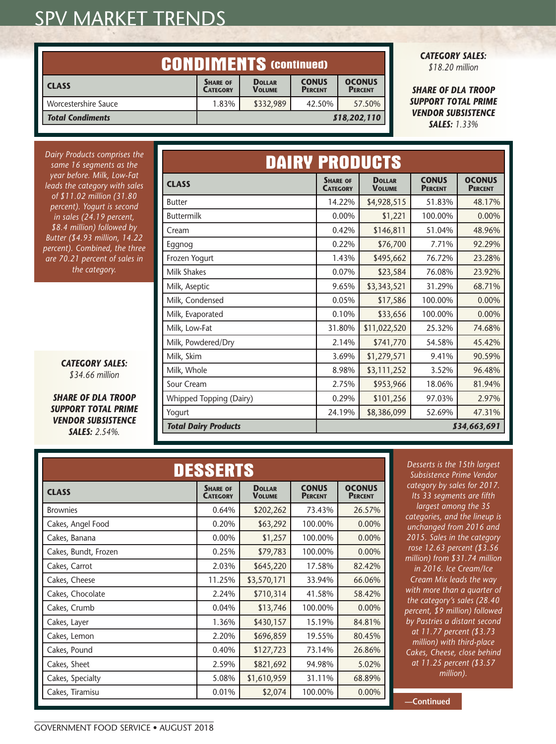| <b>CONDIMENTS (CONTINUED)</b> |                                                                                                                                           |           |        |        |
|-------------------------------|-------------------------------------------------------------------------------------------------------------------------------------------|-----------|--------|--------|
| <b>CLASS</b>                  | <b>OCONUS</b><br><b>CONUS</b><br><b>DOLLAR</b><br><b>SHARE OF</b><br><b>VOLUME</b><br><b>PERCENT</b><br><b>PERCENT</b><br><b>CATEGORY</b> |           |        |        |
| Worcestershire Sauce          | 1.83%                                                                                                                                     | \$332,989 | 42.50% | 57.50% |
| <b>Total Condiments</b>       | \$18,202,110                                                                                                                              |           |        |        |

*CATEGORY SALES: \$18.20 million*

*SHARE OF DLA TROOP SUPPORT TOTAL PRIME VENDOR SUBSISTENCE SALES: 1.33%*

| Dairy Products comprises the<br>same 16 segments as the        | <b>DAIRY PRODUCTS</b>       |                                    |                                |                                |                                 |  |  |
|----------------------------------------------------------------|-----------------------------|------------------------------------|--------------------------------|--------------------------------|---------------------------------|--|--|
| year before. Milk, Low-Fat<br>leads the category with sales    | <b>CLASS</b>                | <b>SHARE OF</b><br><b>CATEGORY</b> | <b>DOLLAR</b><br><b>VOLUME</b> | <b>CONUS</b><br><b>PERCENT</b> | <b>OCONUS</b><br><b>PERCENT</b> |  |  |
| of \$11.02 million (31.80<br>percent). Yogurt is second        | <b>Butter</b>               | 14.22%                             | \$4,928,515                    | 51.83%                         | 48.17%                          |  |  |
| in sales (24.19 percent,                                       | <b>Buttermilk</b>           | 0.00%                              | \$1,221                        | 100.00%                        | 0.00%                           |  |  |
| \$8.4 million) followed by                                     | Cream                       | 0.42%                              | \$146,811                      | 51.04%                         | 48.96%                          |  |  |
| Butter (\$4.93 million, 14.22<br>percent). Combined, the three | Eggnog                      | 0.22%                              | \$76,700                       | 7.71%                          | 92.29%                          |  |  |
| are 70.21 percent of sales in                                  | Frozen Yogurt               | 1.43%                              | \$495,662                      | 76.72%                         | 23.28%                          |  |  |
| the category.                                                  | <b>Milk Shakes</b>          | 0.07%                              | \$23,584                       | 76.08%                         | 23.92%                          |  |  |
|                                                                | Milk, Aseptic               | 9.65%                              | \$3,343,521                    | 31.29%                         | 68.71%                          |  |  |
|                                                                | Milk, Condensed             | 0.05%                              | \$17,586                       | 100.00%                        | 0.00%                           |  |  |
|                                                                | Milk, Evaporated            | 0.10%                              | \$33,656                       | 100.00%                        | 0.00%                           |  |  |
|                                                                | Milk, Low-Fat               | 31.80%                             | \$11,022,520                   | 25.32%                         | 74.68%                          |  |  |
|                                                                | Milk, Powdered/Dry          | 2.14%                              | \$741,770                      | 54.58%                         | 45.42%                          |  |  |
|                                                                | Milk, Skim                  | 3.69%                              | \$1,279,571                    | 9.41%                          | 90.59%                          |  |  |
| <b>CATEGORY SALES:</b><br>\$34.66 million                      | Milk, Whole                 | 8.98%                              | \$3,111,252                    | 3.52%                          | 96.48%                          |  |  |
|                                                                | Sour Cream                  | 2.75%                              | \$953,966                      | 18.06%                         | 81.94%                          |  |  |
| <b>SHARE OF DLA TROOP</b>                                      | Whipped Topping (Dairy)     | 0.29%                              | \$101,256                      | 97.03%                         | 2.97%                           |  |  |
| <b>SUPPORT TOTAL PRIME</b>                                     | Yogurt                      | 24.19%                             | \$8,386,099                    | 52.69%                         | 47.31%                          |  |  |
| <b>VENDOR SUBSISTENCE</b><br><b>SALES: 2.54%.</b>              | <b>Total Dairy Products</b> |                                    |                                |                                | \$34,663,691                    |  |  |

| <b>DESSERTS</b>      |                                    |                                |                                |                                 |  |  |
|----------------------|------------------------------------|--------------------------------|--------------------------------|---------------------------------|--|--|
| <b>CLASS</b>         | <b>SHARE OF</b><br><b>CATEGORY</b> | <b>DOLLAR</b><br><b>VOLUME</b> | <b>CONUS</b><br><b>PERCENT</b> | <b>OCONUS</b><br><b>PERCENT</b> |  |  |
| <b>Brownies</b>      | 0.64%                              | \$202,262                      | 73.43%                         | 26.57%                          |  |  |
| Cakes, Angel Food    | 0.20%                              | \$63,292                       | 100.00%                        | 0.00%                           |  |  |
| Cakes, Banana        | 0.00%                              | \$1,257                        | 100.00%                        | 0.00%                           |  |  |
| Cakes, Bundt, Frozen | 0.25%                              | \$79,783                       | 100.00%                        | 0.00%                           |  |  |
| Cakes, Carrot        | 2.03%                              | \$645,220                      | 17.58%                         | 82.42%                          |  |  |
| Cakes, Cheese        | 11.25%                             | \$3,570,171                    | 33.94%                         | 66.06%                          |  |  |
| Cakes, Chocolate     | 2.24%                              | \$710,314                      | 41.58%                         | 58.42%                          |  |  |
| Cakes, Crumb         | 0.04%                              | \$13,746                       | 100.00%                        | 0.00%                           |  |  |
| Cakes, Layer         | 1.36%                              | \$430,157                      | 15.19%                         | 84.81%                          |  |  |
| Cakes, Lemon         | 2.20%                              | \$696,859                      | 19.55%                         | 80.45%                          |  |  |
| Cakes, Pound         | 0.40%                              | \$127,723                      | 73.14%                         | 26.86%                          |  |  |
| Cakes, Sheet         | 2.59%                              | \$821,692                      | 94.98%                         | 5.02%                           |  |  |
| Cakes, Specialty     | 5.08%                              | \$1,610,959                    | 31.11%                         | 68.89%                          |  |  |
| Cakes, Tiramisu      | 0.01%                              | \$2,074                        | 100.00%                        | 0.00%                           |  |  |

*Desserts is the 15th largest Subsistence Prime Vendor category by sales for 2017. Its 33 segments are fifth largest among the 35 categories, and the lineup is unchanged from 2016 and 2015. Sales in the category rose 12.63 percent (\$3.56 million) from \$31.74 million in 2016. Ice Cream/Ice Cream Mix leads the way with more than a quarter of the category's sales (28.40 percent, \$9 million) followed by Pastries a distant second at 11.77 percent (\$3.73 million) with third-place Cakes, Cheese, close behind at 11.25 percent (\$3.57 million).*

**—Continued**

#### *Butter (\$4.93 million, 14.22 percent*). Comi *are 70.21 per* the ca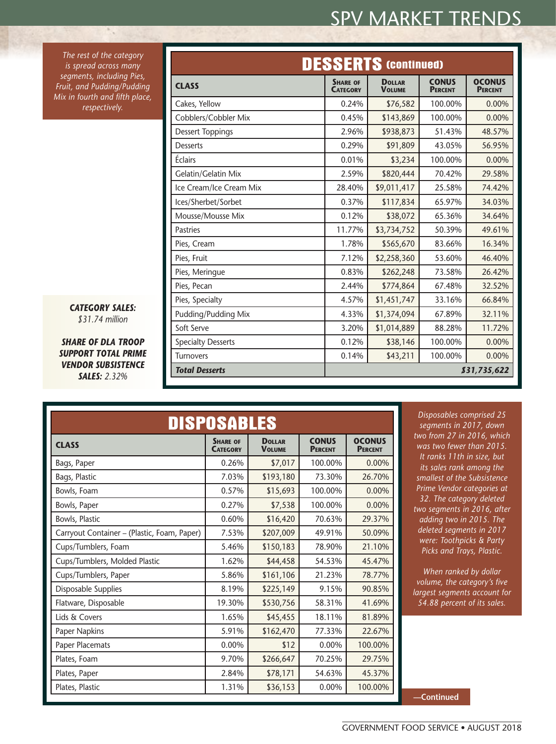*The rest of the category is spread across many segments, including Pies, Fruit, and Pudding/Pudding Mix in fourth and fifth place, respectively.*

۰.

| <b>CATEGORY SALES:</b> |  |
|------------------------|--|
| $$31.74$ million       |  |

*SHARE OF DLA TROOP SUPPORT TOTAL PRIME VENDOR SUBSISTENCE SALES: 2.32%*

|                           | <b>DESSERTS (CONTINUED)</b>        |                                |                                |                                 |
|---------------------------|------------------------------------|--------------------------------|--------------------------------|---------------------------------|
| <b>CLASS</b>              | <b>SHARE OF</b><br><b>CATEGORY</b> | <b>DOLLAR</b><br><b>VOLUME</b> | <b>CONUS</b><br><b>PERCENT</b> | <b>OCONUS</b><br><b>PERCENT</b> |
| Cakes, Yellow             | 0.24%                              | \$76,582                       | 100.00%                        | $0.00\%$                        |
| Cobblers/Cobbler Mix      | 0.45%                              | \$143,869                      | 100.00%                        | 0.00%                           |
| <b>Dessert Toppings</b>   | 2.96%                              | \$938,873                      | 51.43%                         | 48.57%                          |
| <b>Desserts</b>           | 0.29%                              | \$91,809                       | 43.05%                         | 56.95%                          |
| Éclairs                   | 0.01%                              | \$3,234                        | 100.00%                        | $0.00\%$                        |
| Gelatin/Gelatin Mix       | 2.59%                              | \$820,444                      | 70.42%                         | 29.58%                          |
| Ice Cream/Ice Cream Mix   | 28.40%                             | \$9,011,417                    | 25.58%                         | 74.42%                          |
| Ices/Sherbet/Sorbet       | 0.37%                              | \$117,834                      | 65.97%                         | 34.03%                          |
| Mousse/Mousse Mix         | 0.12%                              | \$38,072                       | 65.36%                         | 34.64%                          |
| <b>Pastries</b>           | 11.77%                             | \$3,734,752                    | 50.39%                         | 49.61%                          |
| Pies, Cream               | 1.78%                              | \$565,670                      | 83.66%                         | 16.34%                          |
| Pies, Fruit               | 7.12%                              | \$2,258,360                    | 53.60%                         | 46.40%                          |
| Pies, Meringue            | 0.83%                              | \$262,248                      | 73.58%                         | 26.42%                          |
| Pies, Pecan               | 2.44%                              | \$774,864                      | 67.48%                         | 32.52%                          |
| Pies, Specialty           | 4.57%                              | \$1,451,747                    | 33.16%                         | 66.84%                          |
| Pudding/Pudding Mix       | 4.33%                              | \$1,374,094                    | 67.89%                         | 32.11%                          |
| Soft Serve                | 3.20%                              | \$1,014,889                    | 88.28%                         | 11.72%                          |
| <b>Specialty Desserts</b> | 0.12%                              | \$38,146                       | 100.00%                        | 0.00%                           |
| <b>Turnovers</b>          | 0.14%                              | \$43,211                       | 100.00%                        | $0.00\%$                        |
| <b>Total Desserts</b>     | \$31,735,622                       |                                |                                |                                 |

| <b>DISPOSABLES</b>                          |                                    |                                |                                |                                 |
|---------------------------------------------|------------------------------------|--------------------------------|--------------------------------|---------------------------------|
| <b>CLASS</b>                                | <b>SHARE OF</b><br><b>CATEGORY</b> | <b>DOLLAR</b><br><b>VOLUME</b> | <b>CONUS</b><br><b>PERCENT</b> | <b>OCONUS</b><br><b>PERCENT</b> |
| Bags, Paper                                 | 0.26%                              | \$7,017                        | 100.00%                        | 0.00%                           |
| Bags, Plastic                               | 7.03%                              | \$193,180                      | 73.30%                         | 26.70%                          |
| Bowls, Foam                                 | 0.57%                              | \$15,693                       | 100.00%                        | $0.00\%$                        |
| Bowls, Paper                                | 0.27%                              | \$7,538                        | 100.00%                        | 0.00%                           |
| Bowls, Plastic                              | 0.60%                              | \$16,420                       | 70.63%                         | 29.37%                          |
| Carryout Container - (Plastic, Foam, Paper) | 7.53%                              | \$207,009                      | 49.91%                         | 50.09%                          |
| Cups/Tumblers, Foam                         | 5.46%                              | \$150,183                      | 78.90%                         | 21.10%                          |
| Cups/Tumblers, Molded Plastic               | 1.62%                              | \$44,458                       | 54.53%                         | 45.47%                          |
| Cups/Tumblers, Paper                        | 5.86%                              | \$161,106                      | 21.23%                         | 78.77%                          |
| Disposable Supplies                         | 8.19%                              | \$225,149                      | 9.15%                          | 90.85%                          |
| Flatware, Disposable                        | 19.30%                             | \$530,756                      | 58.31%                         | 41.69%                          |
| Lids & Covers                               | 1.65%                              | \$45,455                       | 18.11%                         | 81.89%                          |
| Paper Napkins                               | 5.91%                              | \$162,470                      | 77.33%                         | 22.67%                          |
| Paper Placemats                             | 0.00%                              | \$12                           | 0.00%                          | 100.00%                         |
| Plates, Foam                                | 9.70%                              | \$266,647                      | 70.25%                         | 29.75%                          |
| Plates, Paper                               | 2.84%                              | \$78,171                       | 54.63%                         | 45.37%                          |
| Plates, Plastic                             | 1.31%                              | \$36,153                       | 0.00%                          | 100.00%                         |

*Disposables comprised 25 segments in 2017, down two from 27 in 2016, which was two fewer than 2015. It ranks 11th in size, but its sales rank among the smallest of the Subsistence Prime Vendor categories at 32. The category deleted two segments in 2016, after adding two in 2015. The deleted segments in 2017 were: Toothpicks & Party Picks and Trays, Plastic.*

*When ranked by dollar volume, the category's five largest segments account for 54.88 percent of its sales.*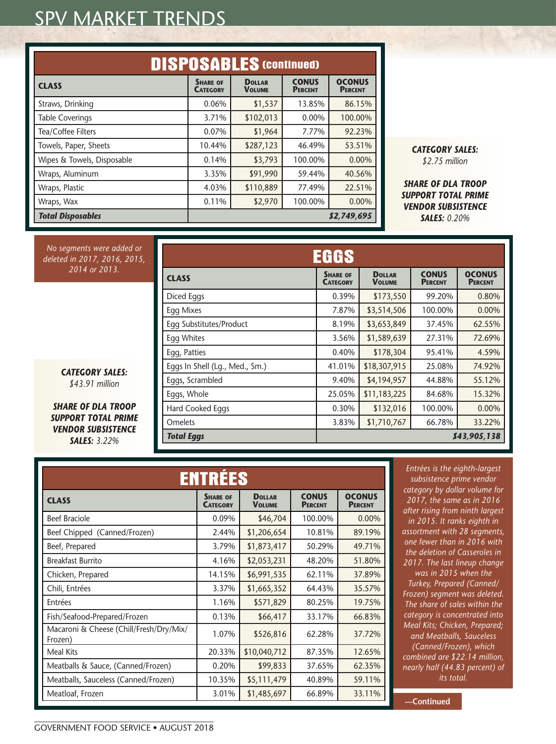| <b>DISPOSABLES (CONTINUED)</b> |                                    |                                |                                |                                 |
|--------------------------------|------------------------------------|--------------------------------|--------------------------------|---------------------------------|
| <b>CLASS</b>                   | <b>SHARE OF</b><br><b>CATEGORY</b> | <b>DOLLAR</b><br><b>VOLUME</b> | <b>CONUS</b><br><b>PERCENT</b> | <b>OCONUS</b><br><b>PERCENT</b> |
| Straws, Drinking               | 0.06%                              | \$1,537                        | 13.85%                         | 86.15%                          |
| <b>Table Coverings</b>         | 3.71%                              | \$102,013                      | $0.00\%$                       | 100.00%                         |
| Tea/Coffee Filters             | 0.07%                              | \$1,964                        | 7.77%                          | 92.23%                          |
| Towels, Paper, Sheets          | 10.44%                             | \$287,123                      | 46.49%                         | 53.51%                          |
| Wipes & Towels, Disposable     | 0.14%                              | \$3,793                        | 100.00%                        | 0.00%                           |
| Wraps, Aluminum                | 3.35%                              | \$91,990                       | 59.44%                         | 40.56%                          |
| Wraps, Plastic                 | 4.03%                              | \$110,889                      | 77.49%                         | 22.51%                          |
| Wraps, Wax                     | 0.11%                              | \$2,970                        | 100.00%                        | 0.00%                           |
| <b>Total Disposables</b>       | \$2,749,695                        |                                |                                |                                 |

*CATEGORY SALES: \$2.75 million*

*SHARE OF DLA TROOP SUPPORT TOTAL PRIME VENDOR SUBSISTENCE SALES: 0.20%*

*No segments were added or deleted in 2017, 2016, 2015, 2014 or 2013.*

|                                | EGGS                               |                                |                                |                                 |
|--------------------------------|------------------------------------|--------------------------------|--------------------------------|---------------------------------|
| <b>CLASS</b>                   | <b>SHARE OF</b><br><b>CATEGORY</b> | <b>DOLLAR</b><br><b>VOLUME</b> | <b>CONUS</b><br><b>PERCENT</b> | <b>OCONUS</b><br><b>PERCENT</b> |
| Diced Eggs                     | 0.39%                              | \$173,550                      | 99.20%                         | 0.80%                           |
| <b>Egg Mixes</b>               | 7.87%                              | \$3,514,506                    | 100.00%                        | $0.00\%$                        |
| Egg Substitutes/Product        | 8.19%                              | \$3,653,849                    | 37.45%                         | 62.55%                          |
| Egg Whites                     | 3.56%                              | \$1,589,639                    | 27.31%                         | 72.69%                          |
| Egg, Patties                   | 0.40%                              | \$178,304                      | 95.41%                         | 4.59%                           |
| Eggs In Shell (Lg., Med., Sm.) | 41.01%                             | \$18,307,915                   | 25.08%                         | 74.92%                          |
| Eggs, Scrambled                | 9.40%                              | \$4,194,957                    | 44.88%                         | 55.12%                          |
| Eggs, Whole                    | 25.05%                             | \$11,183,225                   | 84.68%                         | 15.32%                          |
| Hard Cooked Eggs               | 0.30%                              | \$132,016                      | 100.00%                        | 0.00%                           |
| Omelets                        | 3.83%                              | \$1,710,767                    | 66.78%                         | 33.22%                          |
| <b>Total Eggs</b>              |                                    |                                |                                | \$43,905,138                    |

*\$43.91 million SHARE OF DLA TROOP SUPPORT TOTAL PRIME* 

*CATEGORY SALES:* 

*VENDOR SUBSISTENCE SALES: 3.22%*

| <b>ENTRÉES</b>                                     |                                    |                                |                                |                                 |
|----------------------------------------------------|------------------------------------|--------------------------------|--------------------------------|---------------------------------|
| <b>CLASS</b>                                       | <b>SHARE OF</b><br><b>CATEGORY</b> | <b>DOLLAR</b><br><b>VOLUME</b> | <b>CONUS</b><br><b>PERCENT</b> | <b>OCONUS</b><br><b>PERCENT</b> |
| <b>Beef Braciole</b>                               | 0.09%                              | \$46,704                       | 100.00%                        | 0.00%                           |
| Beef Chipped (Canned/Frozen)                       | 2.44%                              | \$1,206,654                    | 10.81%                         | 89.19%                          |
| Beef, Prepared                                     | 3.79%                              | \$1,873,417                    | 50.29%                         | 49.71%                          |
| <b>Breakfast Burrito</b>                           | 4.16%                              | \$2,053,231                    | 48.20%                         | 51.80%                          |
| Chicken, Prepared                                  | 14.15%                             | \$6,991,535                    | 62.11%                         | 37.89%                          |
| Chili, Entrées                                     | 3.37%                              | \$1,665,352                    | 64.43%                         | 35.57%                          |
| Entrées                                            | 1.16%                              | \$571,829                      | 80.25%                         | 19.75%                          |
| Fish/Seafood-Prepared/Frozen                       | 0.13%                              | \$66,417                       | 33.17%                         | 66.83%                          |
| Macaroni & Cheese (Chill/Fresh/Dry/Mix/<br>Frozen) | 1.07%                              | \$526,816                      | 62.28%                         | 37.72%                          |
| Meal Kits                                          | 20.33%                             | \$10,040,712                   | 87.35%                         | 12.65%                          |
| Meatballs & Sauce, (Canned/Frozen)                 | 0.20%                              | \$99,833                       | 37.65%                         | 62.35%                          |
| Meatballs, Sauceless (Canned/Frozen)               | 10.35%                             | \$5,111,479                    | 40.89%                         | 59.11%                          |
| Meatloaf, Frozen                                   | 3.01%                              | \$1,485,697                    | 66.89%                         | 33.11%                          |

*Entrées is the eighth-largest subsistence prime vendor category by dollar volume for 2017, the same as in 2016 after rising from ninth largest in 2015. It ranks eighth in assortment with 28 segments, one fewer than in 2016 with the deletion of Casseroles in 2017. The last lineup change was in 2015 when the Turkey, Prepared (Canned/ Frozen) segment was deleted. The share of sales within the category is concentrated into Meal Kits; Chicken, Prepared; and Meatballs, Sauceless (Canned/Frozen), which combined are \$22.14 million, nearly half (44.83 percent) of its total.*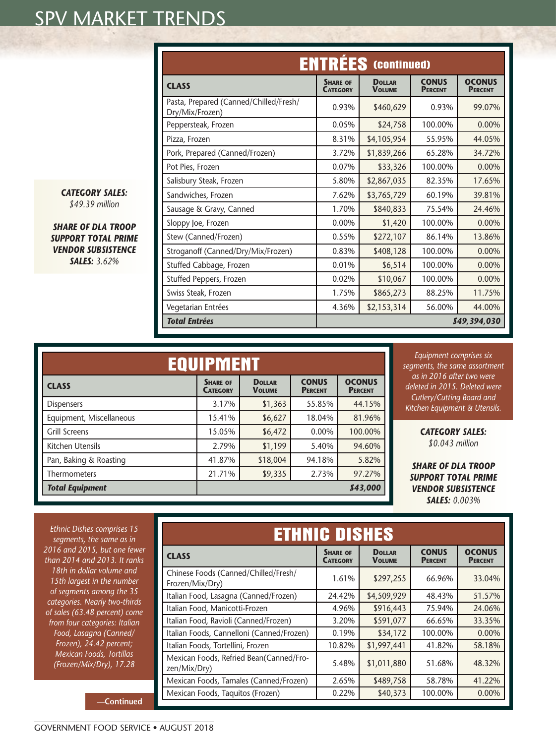|                                                           |                                    | <b>ENTRÉES</b> (continued)     |                                |                                 |
|-----------------------------------------------------------|------------------------------------|--------------------------------|--------------------------------|---------------------------------|
| <b>CLASS</b>                                              | <b>SHARE OF</b><br><b>CATEGORY</b> | <b>DOLLAR</b><br><b>VOLUME</b> | <b>CONUS</b><br><b>PERCENT</b> | <b>OCONUS</b><br><b>PERCENT</b> |
| Pasta, Prepared (Canned/Chilled/Fresh/<br>Dry/Mix/Frozen) | 0.93%                              | \$460,629                      | 0.93%                          | 99.07%                          |
| Peppersteak, Frozen                                       | 0.05%                              | \$24,758                       | 100.00%                        | $0.00\%$                        |
| Pizza, Frozen                                             | 8.31%                              | \$4,105,954                    | 55.95%                         | 44.05%                          |
| Pork, Prepared (Canned/Frozen)                            | 3.72%                              | \$1,839,266                    | 65.28%                         | 34.72%                          |
| Pot Pies, Frozen                                          | 0.07%                              | \$33,326                       | 100.00%                        | 0.00%                           |
| Salisbury Steak, Frozen                                   | 5.80%                              | \$2,867,035                    | 82.35%                         | 17.65%                          |
| Sandwiches, Frozen                                        | 7.62%                              | \$3,765,729                    | 60.19%                         | 39.81%                          |
| Sausage & Gravy, Canned                                   | 1.70%                              | \$840,833                      | 75.54%                         | 24.46%                          |
| Sloppy Joe, Frozen                                        | 0.00%                              | \$1,420                        | 100.00%                        | 0.00%                           |
| Stew (Canned/Frozen)                                      | 0.55%                              | \$272,107                      | 86.14%                         | 13.86%                          |
| Stroganoff (Canned/Dry/Mix/Frozen)                        | 0.83%                              | \$408,128                      | 100.00%                        | 0.00%                           |
| Stuffed Cabbage, Frozen                                   | 0.01%                              | \$6,514                        | 100.00%                        | 0.00%                           |
| Stuffed Peppers, Frozen                                   | 0.02%                              | \$10,067                       | 100.00%                        | 0.00%                           |
| Swiss Steak, Frozen                                       | 1.75%                              | \$865,273                      | 88.25%                         | 11.75%                          |
| Vegetarian Entrées                                        | 4.36%                              | \$2,153,314                    | 56.00%                         | 44.00%                          |
| <b>Total Entrées</b>                                      |                                    |                                |                                | \$49,394,030                    |

*CATEGORY SALES: \$49.39 million*

*SHARE OF DLA TROOP SUPPORT TOTAL PRIME VENDOR SUBSISTENCE SALES: 3.62%*

| <b>EQUIPMENT</b>         |                                    |                                |                                |                                 |
|--------------------------|------------------------------------|--------------------------------|--------------------------------|---------------------------------|
| <b>CLASS</b>             | <b>SHARE OF</b><br><b>CATEGORY</b> | <b>DOLLAR</b><br><b>VOLUME</b> | <b>CONUS</b><br><b>PERCENT</b> | <b>OCONUS</b><br><b>PERCENT</b> |
| <b>Dispensers</b>        | 3.17%                              | \$1,363                        | 55.85%                         | 44.15%                          |
| Equipment, Miscellaneous | 15.41%                             | \$6,627                        | 18.04%                         | 81.96%                          |
| <b>Grill Screens</b>     | 15.05%                             | \$6,472                        | 0.00%                          | 100.00%                         |
| Kitchen Utensils         | 2.79%                              | \$1,199                        | 5.40%                          | 94.60%                          |
| Pan, Baking & Roasting   | 41.87%                             | \$18,004                       | 94.18%                         | 5.82%                           |
| <b>Thermometers</b>      | 21.71%                             | \$9,335                        | 2.73%                          | 97.27%                          |
| <b>Total Equipment</b>   | 843,000                            |                                |                                |                                 |

*Equipment comprises six segments, the same assortment as in 2016 after two were deleted in 2015. Deleted were Cutlery/Cutting Board and Kitchen Equipment & Utensils.*

> *CATEGORY SALES: \$0.043 million*

*SHARE OF DLA TROOP SUPPORT TOTAL PRIME VENDOR SUBSISTENCE SALES: 0.003%*

*Ethnic Dishes comprises 15 segments, the same as in 2016 and 2015, but one fewer than 2014 and 2013. It ranks 18th in dollar volume and 15th largest in the number of segments among the 35 categories. Nearly two-thirds of sales (63.48 percent) come from four categories: Italian Food, Lasagna (Canned/ Frozen), 24.42 percent; Mexican Foods, Tortillas (Frozen/Mix/Dry), 17.28* 

| <b>ETHNIC DISHES</b>                                    |                                    |                                |                                |                                 |
|---------------------------------------------------------|------------------------------------|--------------------------------|--------------------------------|---------------------------------|
| <b>CLASS</b>                                            | <b>SHARE OF</b><br><b>CATEGORY</b> | <b>DOLLAR</b><br><b>VOLUME</b> | <b>CONUS</b><br><b>PERCENT</b> | <b>OCONUS</b><br><b>PERCENT</b> |
| Chinese Foods (Canned/Chilled/Fresh/<br>Frozen/Mix/Dry) | 1.61%                              | \$297,255                      | 66.96%                         | 33.04%                          |
| Italian Food, Lasagna (Canned/Frozen)                   | 24.42%                             | \$4,509,929                    | 48.43%                         | 51.57%                          |
| Italian Food, Manicotti-Frozen                          | 4.96%                              | \$916,443                      | 75.94%                         | 24.06%                          |
| Italian Food, Ravioli (Canned/Frozen)                   | 3.20%                              | \$591,077                      | 66.65%                         | 33.35%                          |
| Italian Foods, Cannelloni (Canned/Frozen)               | 0.19%                              | \$34,172                       | 100.00%                        | $0.00\%$                        |
| Italian Foods, Tortellini, Frozen                       | 10.82%                             | \$1,997,441                    | 41.82%                         | 58.18%                          |
| Mexican Foods, Refried Bean(Canned/Fro-<br>zen/Mix/Dry) | 5.48%                              | \$1,011,880                    | 51.68%                         | 48.32%                          |
| Mexican Foods, Tamales (Canned/Frozen)                  | 2.65%                              | \$489,758                      | 58.78%                         | 41.22%                          |
| Mexican Foods, Taquitos (Frozen)                        | 0.22%                              | \$40,373                       | 100.00%                        | 0.00%                           |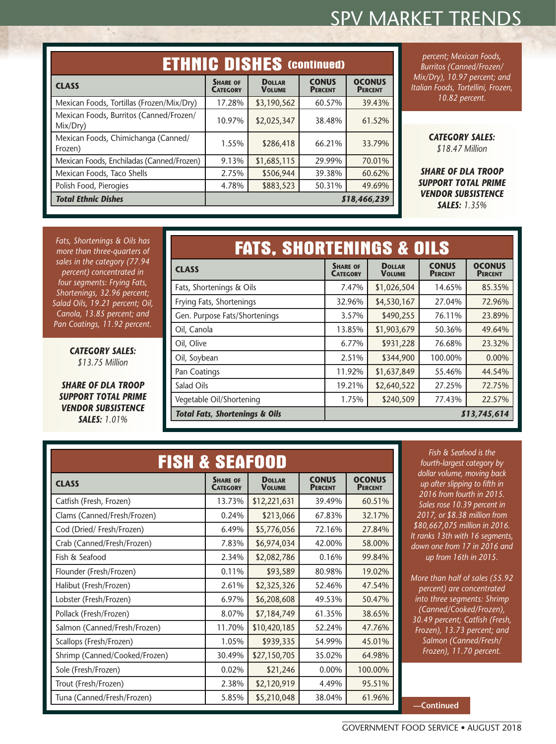|                                                     | <b>ETHNIC DISHES (COntinued)</b>   |                                |                                |                                 |
|-----------------------------------------------------|------------------------------------|--------------------------------|--------------------------------|---------------------------------|
| <b>CLASS</b>                                        | <b>SHARE OF</b><br><b>CATEGORY</b> | <b>DOLLAR</b><br><b>VOLUME</b> | <b>CONUS</b><br><b>PERCENT</b> | <b>OCONUS</b><br><b>PERCENT</b> |
| Mexican Foods, Tortillas (Frozen/Mix/Dry)           | 17.28%                             | \$3,190,562                    | 60.57%                         | 39.43%                          |
| Mexican Foods, Burritos (Canned/Frozen/<br>Mix/Dry) | 10.97%                             | \$2,025,347                    | 38.48%                         | 61.52%                          |
| Mexican Foods, Chimichanga (Canned/<br>Frozen)      | 1.55%                              | \$286,418                      | 66.21%                         | 33.79%                          |
| Mexican Foods, Enchiladas (Canned/Frozen)           | 9.13%                              | \$1,685,115                    | 29.99%                         | 70.01%                          |
| Mexican Foods, Taco Shells                          | 2.75%                              | \$506,944                      | 39.38%                         | 60.62%                          |
| Polish Food, Pierogies                              | 4.78%                              | \$883,523                      | 50.31%                         | 49.69%                          |
| <b>Total Ethnic Dishes</b>                          |                                    |                                |                                | \$18,466,239                    |

*percent; Mexican Foods, Burritos (Canned/Frozen/ Mix/Dry), 10.97 percent; and Italian Foods, Tortellini, Frozen, 10.82 percent.*

> *CATEGORY SALES: \$18.47 Million*

*SHARE OF DLA TROOP SUPPORT TOTAL PRIME VENDOR SUBSISTENCE SALES: 1.35%*

*Fats, Shortenings & Oils has more than three-quarters of sales in the category (77.94 percent) concentrated in four segments: Frying Fats, Shortenings, 32.96 percent; Salad Oils, 19.21 percent; Oil, Canola, 13.85 percent; and Pan Coatings, 11.92 percent.*

 $\mathcal{L}_{\mathcal{A}}$ 

*CATEGORY SALES: \$13.75 Million*

*SHARE OF DLA TROOP SUPPORT TOTAL PRIME VENDOR SUBSISTENCE SALES: 1.01%*

| <b>FATS, SHORTENINGS &amp; OILS</b>       |                                    |                                |                                |                                 |
|-------------------------------------------|------------------------------------|--------------------------------|--------------------------------|---------------------------------|
| <b>CLASS</b>                              | <b>SHARE OF</b><br><b>CATEGORY</b> | <b>DOLLAR</b><br><b>VOLUME</b> | <b>CONUS</b><br><b>PERCENT</b> | <b>OCONUS</b><br><b>PERCENT</b> |
| Fats, Shortenings & Oils                  | 7.47%                              | \$1,026,504                    | 14.65%                         | 85.35%                          |
| Frying Fats, Shortenings                  | 32.96%                             | \$4,530,167                    | 27.04%                         | 72.96%                          |
| Gen. Purpose Fats/Shortenings             | 3.57%                              | \$490,255                      | 76.11%                         | 23.89%                          |
| Oil, Canola                               | 13.85%                             | \$1,903,679                    | 50.36%                         | 49.64%                          |
| Oil, Olive                                | 6.77%                              | \$931,228                      | 76.68%                         | 23.32%                          |
| Oil, Soybean                              | 2.51%                              | \$344,900                      | 100.00%                        | 0.00%                           |
| Pan Coatings                              | 11.92%                             | \$1,637,849                    | 55.46%                         | 44.54%                          |
| Salad Oils                                | 19.21%                             | \$2,640,522                    | 27.25%                         | 72.75%                          |
| Vegetable Oil/Shortening                  | 1.75%                              | \$240,509                      | 77.43%                         | 22.57%                          |
| <b>Total Fats, Shortenings &amp; Oils</b> | 813,745,614                        |                                |                                |                                 |

| <b>FISH &amp; SEAFOOD</b>     |                                    |                                |                                |                                 |  |  |
|-------------------------------|------------------------------------|--------------------------------|--------------------------------|---------------------------------|--|--|
| <b>CLASS</b>                  | <b>SHARE OF</b><br><b>CATEGORY</b> | <b>DOLLAR</b><br><b>VOLUME</b> | <b>CONUS</b><br><b>PERCENT</b> | <b>OCONUS</b><br><b>PERCENT</b> |  |  |
| Catfish (Fresh, Frozen)       | 13.73%                             | \$12,221,631                   | 39.49%                         | 60.51%                          |  |  |
| Clams (Canned/Fresh/Frozen)   | 0.24%                              | \$213,066                      | 67.83%                         | 32.17%                          |  |  |
| Cod (Dried/Fresh/Frozen)      | 6.49%                              | \$5,776,056                    | 72.16%                         | 27.84%                          |  |  |
| Crab (Canned/Fresh/Frozen)    | 7.83%                              | \$6,974,034                    | 42.00%                         | 58.00%                          |  |  |
| Fish & Seafood                | 2.34%                              | \$2,082,786                    | 0.16%                          | 99.84%                          |  |  |
| Flounder (Fresh/Frozen)       | 0.11%                              | \$93,589                       | 80.98%                         | 19.02%                          |  |  |
| Halibut (Fresh/Frozen)        | 2.61%                              | \$2,325,326                    | 52.46%                         | 47.54%                          |  |  |
| Lobster (Fresh/Frozen)        | 6.97%                              | \$6,208,608                    | 49.53%                         | 50.47%                          |  |  |
| Pollack (Fresh/Frozen)        | 8.07%                              | \$7,184,749                    | 61.35%                         | 38.65%                          |  |  |
| Salmon (Canned/Fresh/Frozen)  | 11.70%                             | \$10,420,185                   | 52.24%                         | 47.76%                          |  |  |
| Scallops (Fresh/Frozen)       | 1.05%                              | \$939,335                      | 54.99%                         | 45.01%                          |  |  |
| Shrimp (Canned/Cooked/Frozen) | 30.49%                             | \$27,150,705                   | 35.02%                         | 64.98%                          |  |  |
| Sole (Fresh/Frozen)           | 0.02%                              | \$21,246                       | 0.00%                          | 100.00%                         |  |  |
| Trout (Fresh/Frozen)          | 2.38%                              | \$2,120,919                    | 4.49%                          | 95.51%                          |  |  |
| Tuna (Canned/Fresh/Frozen)    | 5.85%                              | \$5,210,048                    | 38.04%                         | 61.96%                          |  |  |

*Fish & Seafood is the fourth-largest category by dollar volume, moving back up after slipping to fifth in 2016 from fourth in 2015. Sales rose 10.39 percent in 2017, or \$8.38 million from \$80,667,075 million in 2016. It ranks 13th with 16 segments, down one from 17 in 2016 and up from 16th in 2015.*

*More than half of sales (55.92 percent) are concentrated into three segments: Shrimp (Canned/Cooked/Frozen), 30.49 percent; Catfish (Fresh, Frozen), 13.73 percent; and Salmon (Canned/Fresh/ Frozen), 11.70 percent.*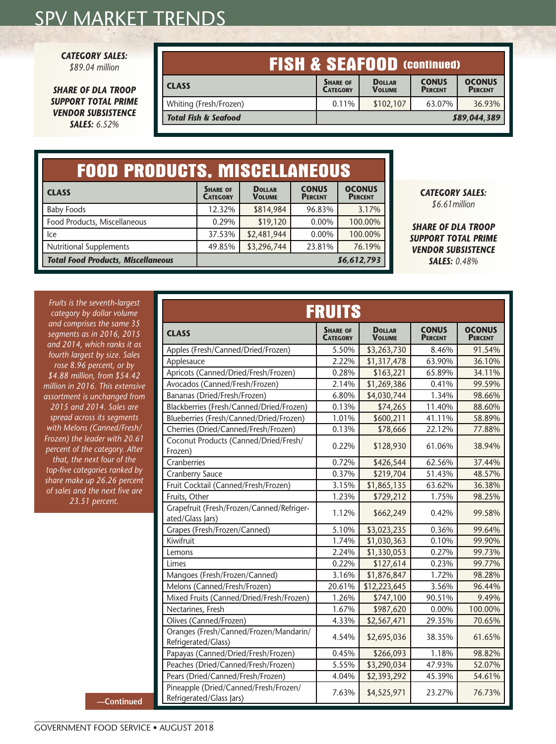*CATEGORY SALES:* 

*\$89.04 million*

*SHARE OF DLA TROOP SUPPORT TOTAL PRIME VENDOR SUBSISTENCE SALES: 6.52%*

| <b>FISH &amp; SEAFOOD (Continued)</b> |                                    |                                |                                |                                 |
|---------------------------------------|------------------------------------|--------------------------------|--------------------------------|---------------------------------|
| <b>CLASS</b>                          | <b>SHARE OF</b><br><b>CATEGORY</b> | <b>DOLLAR</b><br><b>VOLUME</b> | <b>CONUS</b><br><b>PERCENT</b> | <b>OCONUS</b><br><b>PERCENT</b> |
| Whiting (Fresh/Frozen)                | 0.11%                              | \$102,107                      | 63.07%                         | 36.93%                          |
| <b>Total Fish &amp; Seafood</b>       |                                    |                                |                                | 889,044,389                     |
|                                       |                                    |                                |                                |                                 |

| <b>FOOD PRODUCTS, MISCELLANEOUS</b>       |                                    |                                |                                |                                 |
|-------------------------------------------|------------------------------------|--------------------------------|--------------------------------|---------------------------------|
| <b>CLASS</b>                              | <b>SHARE OF</b><br><b>CATEGORY</b> | <b>DOLLAR</b><br><b>VOLUME</b> | <b>CONUS</b><br><b>PERCENT</b> | <b>OCONUS</b><br><b>PERCENT</b> |
| <b>Baby Foods</b>                         | 12.32%                             | \$814,984                      | 96.83%                         | 3.17%                           |
| Food Products, Miscellaneous              | 0.29%                              | \$19,120                       | 0.00%                          | 100.00%                         |
| lce                                       | 37.53%                             | \$2,481,944                    | 0.00%                          | 100.00%                         |
| <b>Nutritional Supplements</b>            | 49.85%                             | \$3,296,744                    | 23.81%                         | 76.19%                          |
| <b>Total Food Products, Miscellaneous</b> |                                    |                                |                                | 86,612,793                      |

#### *CATEGORY SALES: \$6.61million*

*SHARE OF DLA TROOP SUPPORT TOTAL PRIME VENDOR SUBSISTENCE SALES: 0.48%*

*Fruits is the seventh-largest category by dollar volume and comprises the same 35 segments as in 2016, 2015 and 2014, which ranks it as fourth largest by size. Sales rose 8.96 percent, or by \$4.88 million, from \$54.42 million in 2016. This extensive assortment is unchanged from 2015 and 2014. Sales are spread across its segments with Melons (Canned/Fresh/ Frozen) the leader with 20.61 percent of the category. After that, the next four of the top-five categories ranked by share make up 26.26 percent of sales and the next five are 23.51 percent.*

| <b>FRUITS</b>                                                     |                                    |                                |                                |                                 |  |
|-------------------------------------------------------------------|------------------------------------|--------------------------------|--------------------------------|---------------------------------|--|
| <b>CLASS</b>                                                      | <b>SHARE OF</b><br><b>CATEGORY</b> | <b>DOLLAR</b><br><b>VOLUME</b> | <b>CONUS</b><br><b>PERCENT</b> | <b>OCONUS</b><br><b>PERCENT</b> |  |
| Apples (Fresh/Canned/Dried/Frozen)                                | 5.50%                              | \$3,263,730                    | 8.46%                          | 91.54%                          |  |
| Applesauce                                                        | 2.22%                              | \$1,317,478                    | 63.90%                         | 36.10%                          |  |
| Apricots (Canned/Dried/Fresh/Frozen)                              | 0.28%                              | \$163,221                      | 65.89%                         | 34.11%                          |  |
| Avocados (Canned/Fresh/Frozen)                                    | 2.14%                              | \$1,269,386                    | 0.41%                          | 99.59%                          |  |
| Bananas (Dried/Fresh/Frozen)                                      | 6.80%                              | \$4,030,744                    | 1.34%                          | 98.66%                          |  |
| Blackberries (Fresh/Canned/Dried/Frozen)                          | 0.13%                              | \$74,265                       | 11.40%                         | 88.60%                          |  |
| Blueberries (Fresh/Canned/Dried/Frozen)                           | 1.01%                              | \$600,211                      | 41.11%                         | 58.89%                          |  |
| Cherries (Dried/Canned/Fresh/Frozen)                              | 0.13%                              | \$78,666                       | 22.12%                         | 77.88%                          |  |
| Coconut Products (Canned/Dried/Fresh/<br>Frozen)                  | 0.22%                              | \$128,930                      | 61.06%                         | 38.94%                          |  |
| Cranberries                                                       | 0.72%                              | \$426,544                      | 62.56%                         | 37.44%                          |  |
| Cranberry Sauce                                                   | 0.37%                              | \$219,704                      | 51.43%                         | 48.57%                          |  |
| Fruit Cocktail (Canned/Fresh/Frozen)                              | 3.15%                              | \$1,865,135                    | 63.62%                         | 36.38%                          |  |
| Fruits, Other                                                     | 1.23%                              | \$729,212                      | 1.75%                          | 98.25%                          |  |
| Grapefruit (Fresh/Frozen/Canned/Refriger-<br>ated/Glass Jars)     | 1.12%                              | \$662,249                      | 0.42%                          | 99.58%                          |  |
| Grapes (Fresh/Frozen/Canned)                                      | 5.10%                              | \$3,023,235                    | 0.36%                          | 99.64%                          |  |
| Kiwifruit                                                         | 1.74%                              | \$1,030,363                    | 0.10%                          | 99.90%                          |  |
| Lemons                                                            | 2.24%                              | \$1,330,053                    | 0.27%                          | 99.73%                          |  |
| Limes                                                             | 0.22%                              | \$127,614                      | 0.23%                          | 99.77%                          |  |
| Mangoes (Fresh/Frozen/Canned)                                     | 3.16%                              | \$1,876,847                    | 1.72%                          | 98.28%                          |  |
| Melons (Canned/Fresh/Frozen)                                      | 20.61%                             | \$12,223,645                   | 3.56%                          | 96.44%                          |  |
| Mixed Fruits (Canned/Dried/Fresh/Frozen)                          | 1.26%                              | \$747,100                      | 90.51%                         | 9.49%                           |  |
| Nectarines, Fresh                                                 | 1.67%                              | \$987,620                      | 0.00%                          | 100.00%                         |  |
| Olives (Canned/Frozen)                                            | 4.33%                              | \$2,567,471                    | 29.35%                         | 70.65%                          |  |
| Oranges (Fresh/Canned/Frozen/Mandarin/<br>Refrigerated/Glass)     | 4.54%                              | \$2,695,036                    | 38.35%                         | 61.65%                          |  |
| Papayas (Canned/Dried/Fresh/Frozen)                               | 0.45%                              | \$266,093                      | 1.18%                          | 98.82%                          |  |
| Peaches (Dried/Canned/Fresh/Frozen)                               | 5.55%                              | \$3,290,034                    | 47.93%                         | 52.07%                          |  |
| Pears (Dried/Canned/Fresh/Frozen)                                 | 4.04%                              | \$2,393,292                    | 45.39%                         | 54.61%                          |  |
| Pineapple (Dried/Canned/Fresh/Frozen/<br>Refrigerated/Glass Jars) | 7.63%                              | \$4,525,971                    | 23.27%                         | 76.73%                          |  |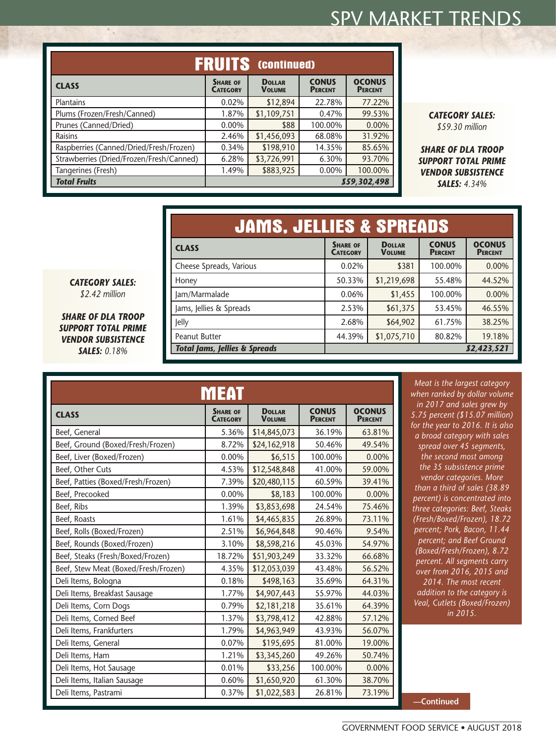| ERUITS<br>(continued)                    |                                    |                                |                                |                                 |
|------------------------------------------|------------------------------------|--------------------------------|--------------------------------|---------------------------------|
| <b>CLASS</b>                             | <b>SHARE OF</b><br><b>CATEGORY</b> | <b>DOLLAR</b><br><b>VOLUME</b> | <b>CONUS</b><br><b>PERCENT</b> | <b>OCONUS</b><br><b>PERCENT</b> |
| Plantains                                | 0.02%                              | \$12,894                       | 22.78%                         | 77.22%                          |
| Plums (Frozen/Fresh/Canned)              | 1.87%                              | \$1,109,751                    | 0.47%                          | 99.53%                          |
| Prunes (Canned/Dried)                    | 0.00%                              | \$88                           | 100.00%                        | 0.00%                           |
| Raisins                                  | 2.46%                              | \$1,456,093                    | 68.08%                         | 31.92%                          |
| Raspberries (Canned/Dried/Fresh/Frozen)  | 0.34%                              | \$198,910                      | 14.35%                         | 85.65%                          |
| Strawberries (Dried/Frozen/Fresh/Canned) | 6.28%                              | \$3,726,991                    | 6.30%                          | 93.70%                          |
| Tangerines (Fresh)                       | 1.49%                              | \$883,925                      | 0.00%                          | 100.00%                         |
| <b>Total Fruits</b>                      | 859,302,498                        |                                |                                |                                 |

*CATEGORY SALES: \$59.30 million*

*SHARE OF DLA TROOP SUPPORT TOTAL PRIME VENDOR SUBSISTENCE SALES: 4.34%*

| <b>JAMS, JELLIES &amp; SPREADS</b>       |                                    |                                |                                |                                 |
|------------------------------------------|------------------------------------|--------------------------------|--------------------------------|---------------------------------|
| <b>CLASS</b>                             | <b>SHARE OF</b><br><b>CATEGORY</b> | <b>DOLLAR</b><br><b>VOLUME</b> | <b>CONUS</b><br><b>PERCENT</b> | <b>OCONUS</b><br><b>PERCENT</b> |
| Cheese Spreads, Various                  | 0.02%                              | \$381                          | 100.00%                        | 0.00%                           |
| Honey                                    | 50.33%                             | \$1,219,698                    | 55.48%                         | 44.52%                          |
| Jam/Marmalade                            | 0.06%                              | \$1,455                        | 100.00%                        | $0.00\%$                        |
| Jams, Jellies & Spreads                  | 2.53%                              | \$61,375                       | 53.45%                         | 46.55%                          |
| Jelly                                    | 2.68%                              | \$64,902                       | 61.75%                         | 38.25%                          |
| <b>Peanut Butter</b>                     | 44.39%                             | \$1,075,710                    | 80.82%                         | 19.18%                          |
| <b>Total Jams, Jellies &amp; Spreads</b> |                                    |                                |                                | 82,423,521                      |

*CATEGORY SALES: \$2.42 million*

 $\mathcal{L}_{\mathcal{A}}$ 

*SHARE OF DLA TROOP SUPPORT TOTAL PRIME VENDOR SUBSISTENCE SALES: 0.18%*

|                                      | MEAT                               |                                |                                |                                 |
|--------------------------------------|------------------------------------|--------------------------------|--------------------------------|---------------------------------|
| <b>CLASS</b>                         | <b>SHARE OF</b><br><b>CATEGORY</b> | <b>DOLLAR</b><br><b>VOLUME</b> | <b>CONUS</b><br><b>PERCENT</b> | <b>OCONUS</b><br><b>PERCENT</b> |
| Beef, General                        | 5.36%                              | \$14,845,073                   | 36.19%                         | 63.81%                          |
| Beef, Ground (Boxed/Fresh/Frozen)    | 8.72%                              | \$24,162,918                   | 50.46%                         | 49.54%                          |
| Beef, Liver (Boxed/Frozen)           | 0.00%                              | \$6,515                        | 100.00%                        | 0.00%                           |
| Beef, Other Cuts                     | 4.53%                              | \$12,548,848                   | 41.00%                         | 59.00%                          |
| Beef, Patties (Boxed/Fresh/Frozen)   | 7.39%                              | \$20,480,115                   | 60.59%                         | 39.41%                          |
| Beef, Precooked                      | 0.00%                              | \$8,183                        | 100.00%                        | 0.00%                           |
| Beef, Ribs                           | 1.39%                              | \$3,853,698                    | 24.54%                         | 75.46%                          |
| Beef, Roasts                         | 1.61%                              | \$4,465,835                    | 26.89%                         | 73.11%                          |
| Beef, Rolls (Boxed/Frozen)           | 2.51%                              | \$6,964,848                    | 90.46%                         | 9.54%                           |
| Beef, Rounds (Boxed/Frozen)          | 3.10%                              | \$8,598,216                    | 45.03%                         | 54.97%                          |
| Beef, Steaks (Fresh/Boxed/Frozen)    | 18.72%                             | \$51,903,249                   | 33.32%                         | 66.68%                          |
| Beef, Stew Meat (Boxed/Fresh/Frozen) | 4.35%                              | \$12,053,039                   | 43.48%                         | 56.52%                          |
| Deli Items, Bologna                  | 0.18%                              | \$498,163                      | 35.69%                         | 64.31%                          |
| Deli Items, Breakfast Sausage        | 1.77%                              | \$4,907,443                    | 55.97%                         | 44.03%                          |
| Deli Items, Corn Dogs                | 0.79%                              | \$2,181,218                    | 35.61%                         | 64.39%                          |
| Deli Items, Corned Beef              | 1.37%                              | \$3,798,412                    | 42.88%                         | 57.12%                          |
| Deli Items, Frankfurters             | 1.79%                              | \$4,963,949                    | 43.93%                         | 56.07%                          |
| Deli Items, General                  | 0.07%                              | \$195,695                      | 81.00%                         | 19.00%                          |
| Deli Items, Ham                      | 1.21%                              | \$3,345,260                    | 49.26%                         | 50.74%                          |
| Deli Items, Hot Sausage              | 0.01%                              | \$33,256                       | 100.00%                        | 0.00%                           |
| Deli Items, Italian Sausage          | 0.60%                              | \$1,650,920                    | 61.30%                         | 38.70%                          |
| Deli Items, Pastrami                 | 0.37%                              | \$1,022,583                    | 26.81%                         | 73.19%                          |

*Meat is the largest category when ranked by dollar volume in 2017 and sales grew by 5.75 percent (\$15.07 million) for the year to 2016. It is also a broad category with sales spread over 45 segments, the second most among the 35 subsistence prime vendor categories. More than a third of sales (38.89 percent) is concentrated into three categories: Beef, Steaks (Fresh/Boxed/Frozen), 18.72 percent; Pork, Bacon, 11.44 percent; and Beef Ground (Boxed/Fresh/Frozen), 8.72 percent. All segments carry over from 2016, 2015 and 2014. The most recent addition to the category is Veal, Cutlets (Boxed/Frozen) in 2015.*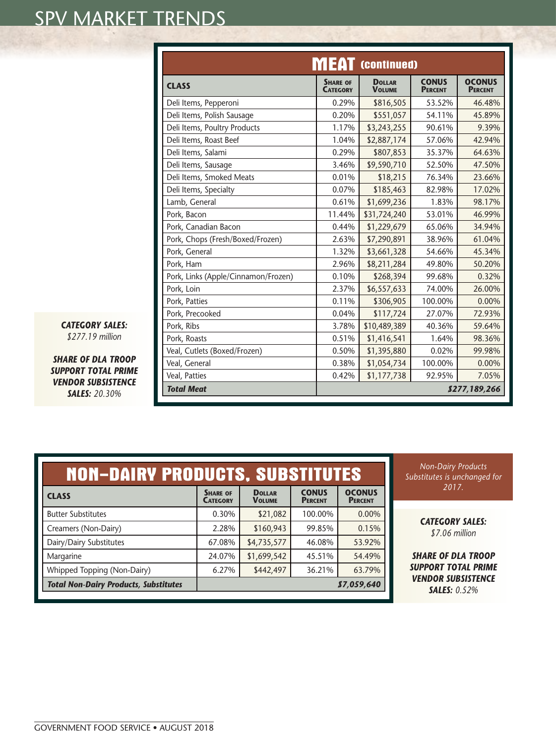|                                     | <b>MEAT</b> (continued)            |                                |                                |                                 |
|-------------------------------------|------------------------------------|--------------------------------|--------------------------------|---------------------------------|
| <b>CLASS</b>                        | <b>SHARE OF</b><br><b>CATEGORY</b> | <b>DOLLAR</b><br><b>VOLUME</b> | <b>CONUS</b><br><b>PERCENT</b> | <b>OCONUS</b><br><b>PERCENT</b> |
| Deli Items, Pepperoni               | 0.29%                              | \$816,505                      | 53.52%                         | 46.48%                          |
| Deli Items, Polish Sausage          | 0.20%                              | \$551,057                      | 54.11%                         | 45.89%                          |
| Deli Items, Poultry Products        | 1.17%                              | \$3,243,255                    | 90.61%                         | 9.39%                           |
| Deli Items, Roast Beef              | 1.04%                              | \$2,887,174                    | 57.06%                         | 42.94%                          |
| Deli Items, Salami                  | 0.29%                              | \$807,853                      | 35.37%                         | 64.63%                          |
| Deli Items, Sausage                 | 3.46%                              | \$9,590,710                    | 52.50%                         | 47.50%                          |
| Deli Items, Smoked Meats            | 0.01%                              | \$18,215                       | 76.34%                         | 23.66%                          |
| Deli Items, Specialty               | 0.07%                              | \$185,463                      | 82.98%                         | 17.02%                          |
| Lamb, General                       | 0.61%                              | \$1,699,236                    | 1.83%                          | 98.17%                          |
| Pork, Bacon                         | 11.44%                             | \$31,724,240                   | 53.01%                         | 46.99%                          |
| Pork, Canadian Bacon                | 0.44%                              | \$1,229,679                    | 65.06%                         | 34.94%                          |
| Pork, Chops (Fresh/Boxed/Frozen)    | 2.63%                              | \$7,290,891                    | 38.96%                         | 61.04%                          |
| Pork, General                       | 1.32%                              | \$3,661,328                    | 54.66%                         | 45.34%                          |
| Pork, Ham                           | 2.96%                              | \$8,211,284                    | 49.80%                         | 50.20%                          |
| Pork, Links (Apple/Cinnamon/Frozen) | 0.10%                              | \$268,394                      | 99.68%                         | 0.32%                           |
| Pork, Loin                          | 2.37%                              | \$6,557,633                    | 74.00%                         | 26.00%                          |
| Pork, Patties                       | 0.11%                              | \$306,905                      | 100.00%                        | 0.00%                           |
| Pork, Precooked                     | 0.04%                              | \$117,724                      | 27.07%                         | 72.93%                          |
| Pork, Ribs                          | 3.78%                              | \$10,489,389                   | 40.36%                         | 59.64%                          |
| Pork, Roasts                        | 0.51%                              | \$1,416,541                    | 1.64%                          | 98.36%                          |
| Veal, Cutlets (Boxed/Frozen)        | 0.50%                              | \$1,395,880                    | 0.02%                          | 99.98%                          |
| Veal, General                       | 0.38%                              | \$1,054,734                    | 100.00%                        | 0.00%                           |
| Veal, Patties                       | 0.42%                              | \$1,177,738                    | 92.95%                         | 7.05%                           |
| <b>Total Meat</b>                   |                                    |                                |                                | \$277,189,266                   |

*CATEGORY SALES: \$277.19 million*

*SHARE OF DLA TROOP SUPPORT TOTAL PRIME VENDOR SUBSISTENCE SALES: 20.30%*

| <b>NON-DAIRY PRODUCTS, SUBSTITUTES</b>       |                                    |                                |                                |                                 |
|----------------------------------------------|------------------------------------|--------------------------------|--------------------------------|---------------------------------|
| <b>CLASS</b>                                 | <b>SHARE OF</b><br><b>CATEGORY</b> | <b>DOLLAR</b><br><b>VOLUME</b> | <b>CONUS</b><br><b>PERCENT</b> | <b>OCONUS</b><br><b>PERCENT</b> |
| <b>Butter Substitutes</b>                    | 0.30%                              | \$21,082                       | 100.00%                        | 0.00%                           |
| Creamers (Non-Dairy)                         | 2.28%                              | \$160,943                      | 99.85%                         | 0.15%                           |
| Dairy/Dairy Substitutes                      | 67.08%                             | \$4,735,577                    | 46.08%                         | 53.92%                          |
| Margarine                                    | 24.07%                             | \$1,699,542                    | 45.51%                         | 54.49%                          |
| Whipped Topping (Non-Dairy)                  | 6.27%                              | \$442,497                      | 36.21%                         | 63.79%                          |
| <b>Total Non-Dairy Products, Substitutes</b> |                                    |                                |                                | 87,059,640                      |
|                                              |                                    |                                |                                |                                 |

*Non-Dairy Products Substitutes is unchanged for 2017.*

> *CATEGORY SALES: \$7.06 million*

*SHARE OF DLA TROOP SUPPORT TOTAL PRIME VENDOR SUBSISTENCE SALES: 0.52%*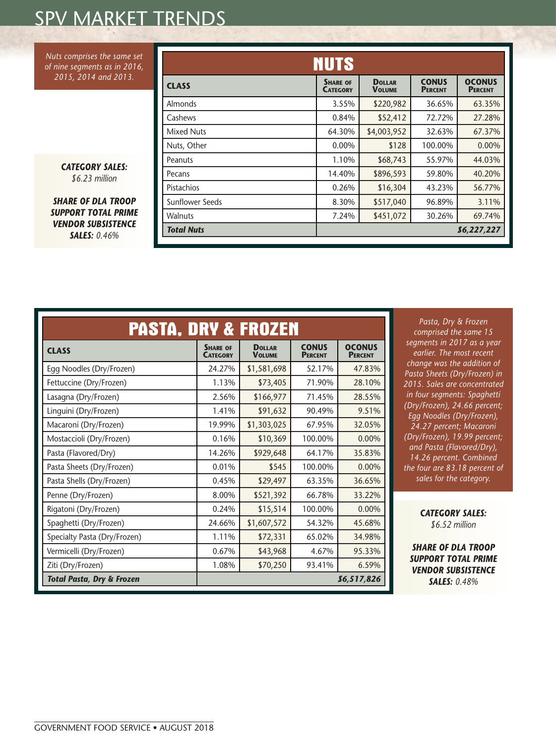*Nuts comprises the same set of nine segments as in 2016, 2015, 2014 and 2013.*

> *CATEGORY SALES: \$6.23 million*

*SHARE OF DLA TROOP SUPPORT TOTAL PRIME VENDOR SUBSISTENCE SALES: 0.46%*

|                   | <b>NUTS</b>                        |                                |                                |                                 |
|-------------------|------------------------------------|--------------------------------|--------------------------------|---------------------------------|
| <b>CLASS</b>      | <b>SHARE OF</b><br><b>CATEGORY</b> | <b>DOLLAR</b><br><b>VOLUME</b> | <b>CONUS</b><br><b>PERCENT</b> | <b>OCONUS</b><br><b>PERCENT</b> |
| Almonds           | 3.55%                              | \$220,982                      | 36.65%                         | 63.35%                          |
| Cashews           | 0.84%                              | \$52,412                       | 72.72%                         | 27.28%                          |
| Mixed Nuts        | 64.30%                             | \$4,003,952                    | 32.63%                         | 67.37%                          |
| Nuts, Other       | $0.00\%$                           | \$128                          | 100.00%                        | $0.00\%$                        |
| Peanuts           | 1.10%                              | \$68,743                       | 55.97%                         | 44.03%                          |
| Pecans            | 14.40%                             | \$896,593                      | 59.80%                         | 40.20%                          |
| Pistachios        | 0.26%                              | \$16,304                       | 43.23%                         | 56.77%                          |
| Sunflower Seeds   | 8.30%                              | \$517,040                      | 96.89%                         | 3.11%                           |
| <b>Walnuts</b>    | 7.24%                              | \$451,072                      | 30.26%                         | 69.74%                          |
| <b>Total Nuts</b> |                                    |                                |                                | 86,227,227                      |

| <b>PASTA, DRY &amp; FROZEN</b>                     |                                    |                                |                                |                                 |
|----------------------------------------------------|------------------------------------|--------------------------------|--------------------------------|---------------------------------|
| <b>CLASS</b>                                       | <b>SHARE OF</b><br><b>CATEGORY</b> | <b>DOLLAR</b><br><b>VOLUME</b> | <b>CONUS</b><br><b>PERCENT</b> | <b>OCONUS</b><br><b>PERCENT</b> |
| Egg Noodles (Dry/Frozen)                           | 24.27%                             | \$1,581,698                    | 52.17%                         | 47.83%                          |
| Fettuccine (Dry/Frozen)                            | 1.13%                              | \$73,405                       | 71.90%                         | 28.10%                          |
| Lasagna (Dry/Frozen)                               | 2.56%                              | \$166,977                      | 71.45%                         | 28.55%                          |
| Linguini (Dry/Frozen)                              | 1.41%                              | \$91,632                       | 90.49%                         | 9.51%                           |
| Macaroni (Dry/Frozen)                              | 19.99%                             | \$1,303,025                    | 67.95%                         | 32.05%                          |
| Mostaccioli (Dry/Frozen)                           | 0.16%                              | \$10,369                       | 100.00%                        | 0.00%                           |
| Pasta (Flavored/Dry)                               | 14.26%                             | \$929,648                      | 64.17%                         | 35.83%                          |
| Pasta Sheets (Dry/Frozen)                          | 0.01%                              | \$545                          | 100.00%                        | 0.00%                           |
| Pasta Shells (Dry/Frozen)                          | 0.45%                              | \$29,497                       | 63.35%                         | 36.65%                          |
| Penne (Dry/Frozen)                                 | 8.00%                              | \$521,392                      | 66.78%                         | 33.22%                          |
| Rigatoni (Dry/Frozen)                              | 0.24%                              | \$15,514                       | 100.00%                        | 0.00%                           |
| Spaghetti (Dry/Frozen)                             | 24.66%                             | \$1,607,572                    | 54.32%                         | 45.68%                          |
| Specialty Pasta (Dry/Frozen)                       | 1.11%                              | \$72,331                       | 65.02%                         | 34.98%                          |
| Vermicelli (Dry/Frozen)                            | 0.67%                              | \$43,968                       | 4.67%                          | 95.33%                          |
| Ziti (Dry/Frozen)                                  | 1.08%                              | \$70,250                       | 93.41%                         | 6.59%                           |
| <b>Total Pasta, Dry &amp; Frozen</b><br>86,517,826 |                                    |                                |                                |                                 |

*Pasta, Dry & Frozen comprised the same 15 segments in 2017 as a year earlier. The most recent change was the addition of Pasta Sheets (Dry/Frozen) in 2015. Sales are concentrated in four segments: Spaghetti (Dry/Frozen), 24.66 percent; Egg Noodles (Dry/Frozen), 24.27 percent; Macaroni (Dry/Frozen), 19.99 percent; and Pasta (Flavored/Dry), 14.26 percent. Combined the four are 83.18 percent of sales for the category.*

> *CATEGORY SALES: \$6.52 million*

*SHARE OF DLA TROOP SUPPORT TOTAL PRIME VENDOR SUBSISTENCE SALES: 0.48%*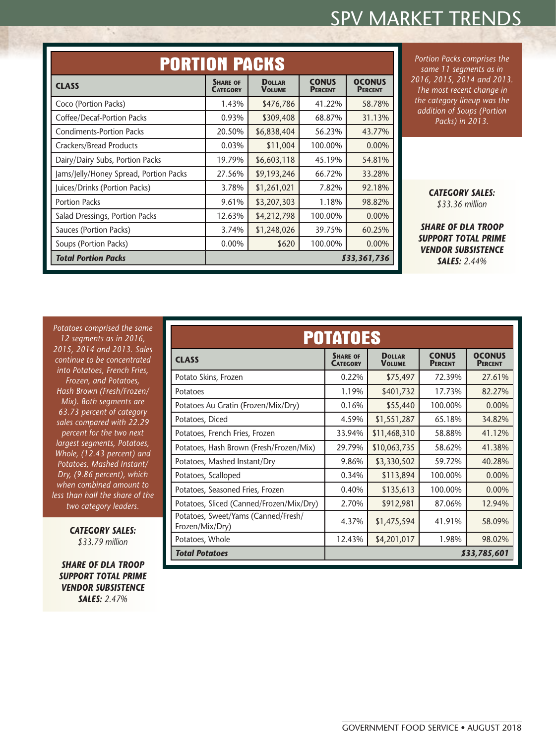|                                        | <b>PORTION PACKS</b>               |                                |                                |                                 |  |
|----------------------------------------|------------------------------------|--------------------------------|--------------------------------|---------------------------------|--|
| <b>CLASS</b>                           | <b>SHARE OF</b><br><b>CATEGORY</b> | <b>DOLLAR</b><br><b>VOLUME</b> | <b>CONUS</b><br><b>PERCENT</b> | <b>OCONUS</b><br><b>PERCENT</b> |  |
| Coco (Portion Packs)                   | 1.43%                              | \$476,786                      | 41.22%                         | 58.78%                          |  |
| Coffee/Decaf-Portion Packs             | 0.93%                              | \$309,408                      | 68.87%                         | 31.13%                          |  |
| <b>Condiments-Portion Packs</b>        | 20.50%                             | \$6,838,404                    | 56.23%                         | 43.77%                          |  |
| <b>Crackers/Bread Products</b>         | 0.03%                              | \$11,004                       | 100.00%                        | 0.00%                           |  |
| Dairy/Dairy Subs, Portion Packs        | 19.79%                             | \$6,603,118                    | 45.19%                         | 54.81%                          |  |
| Jams/Jelly/Honey Spread, Portion Packs | 27.56%                             | \$9,193,246                    | 66.72%                         | 33.28%                          |  |
| Juices/Drinks (Portion Packs)          | 3.78%                              | \$1,261,021                    | 7.82%                          | 92.18%                          |  |
| <b>Portion Packs</b>                   | 9.61%                              | \$3,207,303                    | 1.18%                          | 98.82%                          |  |
| Salad Dressings, Portion Packs         | 12.63%                             | \$4,212,798                    | 100.00%                        | 0.00%                           |  |
| Sauces (Portion Packs)                 | 3.74%                              | \$1,248,026                    | 39.75%                         | 60.25%                          |  |
| Soups (Portion Packs)                  | 0.00%                              | \$620                          | 100.00%                        | 0.00%                           |  |
| <b>Total Portion Packs</b>             |                                    |                                |                                | 833,361,736                     |  |

*Portion Packs comprises the same 11 segments as in 2016, 2015, 2014 and 2013. The most recent change in the category lineup was the addition of Soups (Portion Packs) in 2013.*

> *CATEGORY SALES: \$33.36 million*

*SHARE OF DLA TROOP SUPPORT TOTAL PRIME VENDOR SUBSISTENCE SALES: 2.44%*

*Potatoes comprised the same 12 segments as in 2016, 2015, 2014 and 2013. Sales continue to be concentrated into Potatoes, French Fries, Frozen, and Potatoes, Hash Brown (Fresh/Frozen/ Mix). Both segments are 63.73 percent of category sales compared with 22.29 percent for the two next largest segments, Potatoes, Whole, (12.43 percent) and Potatoes, Mashed Instant/ Dry, (9.86 percent), which when combined amount to less than half the share of the two category leaders.*

 $\mathcal{L}_{\mathcal{A}}$ 

*CATEGORY SALES: \$33.79 million*

*SHARE OF DLA TROOP SUPPORT TOTAL PRIME VENDOR SUBSISTENCE SALES: 2.47%*

| <b>POTATOES</b>                                        |                                    |                                |                                |                                 |  |
|--------------------------------------------------------|------------------------------------|--------------------------------|--------------------------------|---------------------------------|--|
| <b>CLASS</b>                                           | <b>SHARE OF</b><br><b>CATEGORY</b> | <b>DOLLAR</b><br><b>VOLUME</b> | <b>CONUS</b><br><b>PERCENT</b> | <b>OCONUS</b><br><b>PERCENT</b> |  |
| Potato Skins, Frozen                                   | 0.22%                              | \$75,497                       | 72.39%                         | 27.61%                          |  |
| Potatoes                                               | 1.19%                              | \$401,732                      | 17.73%                         | 82.27%                          |  |
| Potatoes Au Gratin (Frozen/Mix/Dry)                    | 0.16%                              | \$55,440                       | 100.00%                        | 0.00%                           |  |
| Potatoes, Diced                                        | 4.59%                              | \$1,551,287                    | 65.18%                         | 34.82%                          |  |
| Potatoes, French Fries, Frozen                         | 33.94%                             | \$11,468,310                   | 58.88%                         | 41.12%                          |  |
| Potatoes, Hash Brown (Fresh/Frozen/Mix)                | 29.79%                             | \$10,063,735                   | 58.62%                         | 41.38%                          |  |
| Potatoes, Mashed Instant/Dry                           | 9.86%                              | \$3,330,502                    | 59.72%                         | 40.28%                          |  |
| Potatoes, Scalloped                                    | 0.34%                              | \$113,894                      | 100.00%                        | 0.00%                           |  |
| Potatoes, Seasoned Fries, Frozen                       | 0.40%                              | \$135,613                      | 100.00%                        | 0.00%                           |  |
| Potatoes, Sliced (Canned/Frozen/Mix/Dry)               | 2.70%                              | \$912,981                      | 87.06%                         | 12.94%                          |  |
| Potatoes, Sweet/Yams (Canned/Fresh/<br>Frozen/Mix/Dry) | 4.37%                              | \$1,475,594                    | 41.91%                         | 58.09%                          |  |
| Potatoes, Whole                                        | 12.43%                             | \$4,201,017                    | 1.98%                          | 98.02%                          |  |
| <b>Total Potatoes</b><br>\$33,785,601                  |                                    |                                |                                |                                 |  |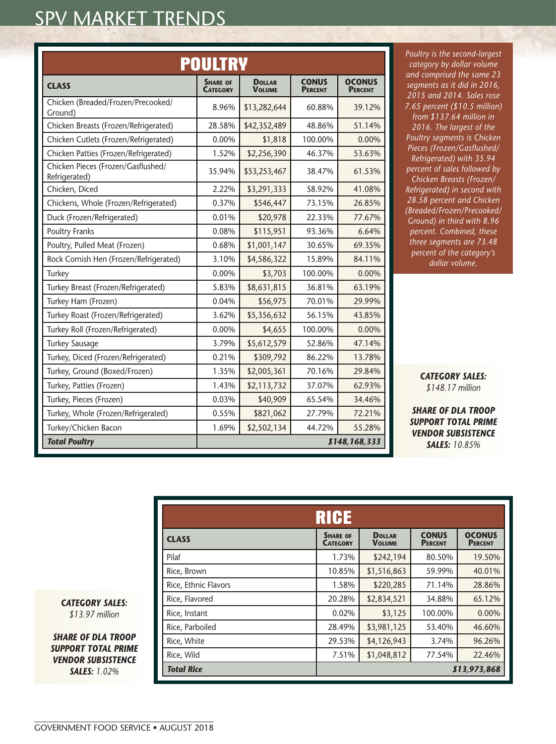|                                                     | <b>POULTRY</b>                     |                                |                                |                                 |
|-----------------------------------------------------|------------------------------------|--------------------------------|--------------------------------|---------------------------------|
| <b>CLASS</b>                                        | <b>SHARE OF</b><br><b>CATEGORY</b> | <b>DOLLAR</b><br><b>VOLUME</b> | <b>CONUS</b><br><b>PERCENT</b> | <b>OCONUS</b><br><b>PERCENT</b> |
| Chicken (Breaded/Frozen/Precooked/<br>Ground)       | 8.96%                              | \$13,282,644                   | 60.88%                         | 39.12%                          |
| Chicken Breasts (Frozen/Refrigerated)               | 28.58%                             | \$42,352,489                   | 48.86%                         | 51.14%                          |
| Chicken Cutlets (Frozen/Refrigerated)               | 0.00%                              | \$1,818                        | 100.00%                        | $0.00\%$                        |
| Chicken Patties (Frozen/Refrigerated)               | 1.52%                              | \$2,256,390                    | 46.37%                         | 53.63%                          |
| Chicken Pieces (Frozen/Gasflushed/<br>Refrigerated) | 35.94%                             | \$53,253,467                   | 38.47%                         | 61.53%                          |
| Chicken, Diced                                      | 2.22%                              | \$3,291,333                    | 58.92%                         | 41.08%                          |
| Chickens, Whole (Frozen/Refrigerated)               | 0.37%                              | \$546,447                      | 73.15%                         | 26.85%                          |
| Duck (Frozen/Refrigerated)                          | 0.01%                              | \$20,978                       | 22.33%                         | 77.67%                          |
| <b>Poultry Franks</b>                               | 0.08%                              | \$115,951                      | 93.36%                         | 6.64%                           |
| Poultry, Pulled Meat (Frozen)                       | 0.68%                              | \$1,001,147                    | 30.65%                         | 69.35%                          |
| Rock Cornish Hen (Frozen/Refrigerated)              | 3.10%                              | \$4,586,322                    | 15.89%                         | 84.11%                          |
| Turkey                                              | 0.00%                              | \$3,703                        | 100.00%                        | 0.00%                           |
| Turkey Breast (Frozen/Refrigerated)                 | 5.83%                              | \$8,631,815                    | 36.81%                         | 63.19%                          |
| Turkey Ham (Frozen)                                 | 0.04%                              | \$56,975                       | 70.01%                         | 29.99%                          |
| Turkey Roast (Frozen/Refrigerated)                  | 3.62%                              | \$5,356,632                    | 56.15%                         | 43.85%                          |
| Turkey Roll (Frozen/Refrigerated)                   | 0.00%                              | \$4,655                        | 100.00%                        | 0.00%                           |
| <b>Turkey Sausage</b>                               | 3.79%                              | \$5,612,579                    | 52.86%                         | 47.14%                          |
| Turkey, Diced (Frozen/Refrigerated)                 | 0.21%                              | \$309,792                      | 86.22%                         | 13.78%                          |
| Turkey, Ground (Boxed/Frozen)                       | 1.35%                              | \$2,005,361                    | 70.16%                         | 29.84%                          |
| Turkey, Patties (Frozen)                            | 1.43%                              | \$2,113,732                    | 37.07%                         | 62.93%                          |
| Turkey, Pieces (Frozen)                             | 0.03%                              | \$40,909                       | 65.54%                         | 34.46%                          |
| Turkey, Whole (Frozen/Refrigerated)                 | 0.55%                              | \$821,062                      | 27.79%                         | 72.21%                          |
| Turkey/Chicken Bacon                                | 1.69%                              | \$2,502,134                    | 44.72%                         | 55.28%                          |
| <b>Total Poultry</b>                                |                                    |                                |                                | \$148,168,333                   |

*Poultry is the second-largest category by dollar volume and comprised the same 23 segments as it did in 2016, 2015 and 2014. Sales rose 7.65 percent (\$10.5 million) from \$137.64 million in 2016. The largest of the Poultry segments is Chicken Pieces (Frozen/Gasflushed/ Refrigerated) with 35.94 percent of sales followed by Chicken Breasts (Frozen/ Refrigerated) in second with 28.58 percent and Chicken (Breaded/Frozen/Precooked/ Ground) in third with 8.96 percent. Combined, these three segments are 73.48 percent of the category's dollar volume.*

> *CATEGORY SALES: \$148.17 million*

*SHARE OF DLA TROOP SUPPORT TOTAL PRIME VENDOR SUBSISTENCE SALES: 10.85%*

|                      | RICE                               |                                |                                |                                 |
|----------------------|------------------------------------|--------------------------------|--------------------------------|---------------------------------|
| <b>CLASS</b>         | <b>SHARE OF</b><br><b>CATEGORY</b> | <b>DOLLAR</b><br><b>VOLUME</b> | <b>CONUS</b><br><b>PERCENT</b> | <b>OCONUS</b><br><b>PERCENT</b> |
| Pilaf                | 1.73%                              | \$242,194                      | 80.50%                         | 19.50%                          |
| Rice, Brown          | 10.85%                             | \$1,516,863                    | 59.99%                         | 40.01%                          |
| Rice, Ethnic Flavors | 1.58%                              | \$220,285                      | 71.14%                         | 28.86%                          |
| Rice, Flavored       | 20.28%                             | \$2,834,521                    | 34.88%                         | 65.12%                          |
| Rice, Instant        | 0.02%                              | \$3,125                        | 100.00%                        | 0.00%                           |
| Rice, Parboiled      | 28.49%                             | \$3,981,125                    | 53.40%                         | 46.60%                          |
| Rice, White          | 29.53%                             | \$4,126,943                    | 3.74%                          | 96.26%                          |
| Rice, Wild           | 7.51%                              | \$1,048,812                    | 77.54%                         | 22.46%                          |
| <b>Total Rice</b>    |                                    |                                |                                | 813,973,868                     |

*CATEGORY SALES: \$13.97 million*

*SHARE OF DLA TROOP SUPPORT TOTAL PRIME VENDOR SUBSISTENCE SALES: 1.02%*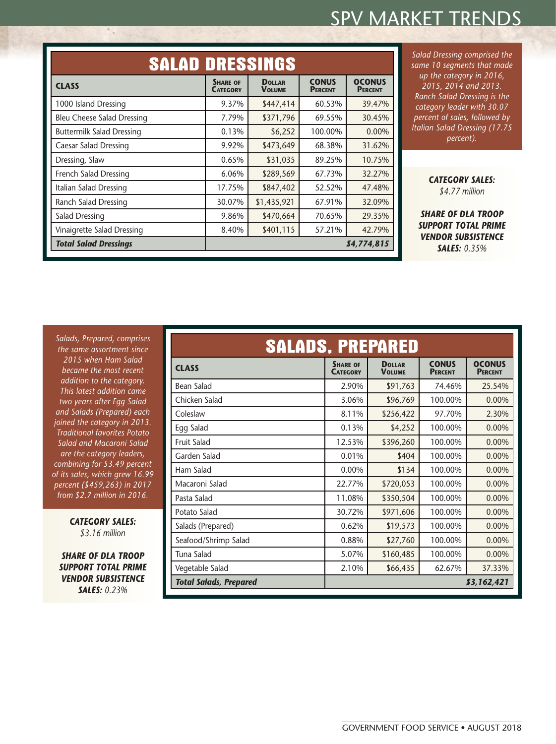| <b>SALAD DRESSINGS</b>            |                                    |                                |                                |                                 |
|-----------------------------------|------------------------------------|--------------------------------|--------------------------------|---------------------------------|
| <b>CLASS</b>                      | <b>SHARE OF</b><br><b>CATEGORY</b> | <b>DOLLAR</b><br><b>VOLUME</b> | <b>CONUS</b><br><b>PERCENT</b> | <b>OCONUS</b><br><b>PERCENT</b> |
| 1000 Island Dressing              | 9.37%                              | \$447,414                      | 60.53%                         | 39.47%                          |
| <b>Bleu Cheese Salad Dressing</b> | 7.79%                              | \$371,796                      | 69.55%                         | 30.45%                          |
| <b>Buttermilk Salad Dressing</b>  | 0.13%                              | \$6,252                        | 100.00%                        | 0.00%                           |
| <b>Caesar Salad Dressing</b>      | 9.92%                              | \$473,649                      | 68.38%                         | 31.62%                          |
| Dressing, Slaw                    | 0.65%                              | \$31,035                       | 89.25%                         | 10.75%                          |
| French Salad Dressing             | 6.06%                              | \$289,569                      | 67.73%                         | 32.27%                          |
| Italian Salad Dressing            | 17.75%                             | \$847,402                      | 52.52%                         | 47.48%                          |
| Ranch Salad Dressing              | 30.07%                             | \$1,435,921                    | 67.91%                         | 32.09%                          |
| Salad Dressing                    | 9.86%                              | \$470,664                      | 70.65%                         | 29.35%                          |
| Vinaigrette Salad Dressing        | 8.40%                              | \$401,115                      | 57.21%                         | 42.79%                          |
| <b>Total Salad Dressings</b>      |                                    |                                |                                | 84,774,815                      |

*Salad Dressing comprised the same 10 segments that made up the category in 2016, 2015, 2014 and 2013. Ranch Salad Dressing is the category leader with 30.07 percent of sales, followed by Italian Salad Dressing (17.75 percent).*

> *CATEGORY SALES: \$4.77 million*

*SHARE OF DLA TROOP SUPPORT TOTAL PRIME VENDOR SUBSISTENCE SALES: 0.35%*

*Salads, Prepared, comprises the same assortment since 2015 when Ham Salad became the most recent addition to the category. This latest addition came two years after Egg Salad and Salads (Prepared) each joined the category in 2013. Traditional favorites Potato Salad and Macaroni Salad are the category leaders, combining for 53.49 percent of its sales, which grew 16.99 percent (\$459,263) in 2017 from \$2.7 million in 2016.*

 $\mathcal{L}_{\mathcal{A}}$ 

*CATEGORY SALES: \$3.16 million*

*SHARE OF DLA TROOP SUPPORT TOTAL PRIME VENDOR SUBSISTENCE SALES: 0.23%*

|                                             | <b>SALADS, PREPARED</b>            |                                |                                |                                 |
|---------------------------------------------|------------------------------------|--------------------------------|--------------------------------|---------------------------------|
| <b>CLASS</b>                                | <b>SHARE OF</b><br><b>CATEGORY</b> | <b>DOLLAR</b><br><b>VOLUME</b> | <b>CONUS</b><br><b>PERCENT</b> | <b>OCONUS</b><br><b>PERCENT</b> |
| <b>Bean Salad</b>                           | 2.90%                              | \$91,763                       | 74.46%                         | 25.54%                          |
| Chicken Salad                               | 3.06%                              | \$96,769                       | 100.00%                        | 0.00%                           |
| Coleslaw                                    | 8.11%                              | \$256,422                      | 97.70%                         | 2.30%                           |
| Egg Salad                                   | 0.13%                              | \$4,252                        | 100.00%                        | 0.00%                           |
| <b>Fruit Salad</b>                          | 12.53%                             | \$396,260                      | 100.00%                        | 0.00%                           |
| Garden Salad                                | 0.01%                              | \$404                          | 100.00%                        | 0.00%                           |
| Ham Salad                                   | 0.00%                              | \$134                          | 100.00%                        | 0.00%                           |
| Macaroni Salad                              | 22.77%                             | \$720,053                      | 100.00%                        | 0.00%                           |
| Pasta Salad                                 | 11.08%                             | \$350,504                      | 100.00%                        | 0.00%                           |
| Potato Salad                                | 30.72%                             | \$971,606                      | 100.00%                        | 0.00%                           |
| Salads (Prepared)                           | 0.62%                              | \$19,573                       | 100.00%                        | 0.00%                           |
| Seafood/Shrimp Salad                        | 0.88%                              | \$27,760                       | 100.00%                        | 0.00%                           |
| Tuna Salad                                  | 5.07%                              | \$160,485                      | 100.00%                        | 0.00%                           |
| Vegetable Salad                             | 2.10%                              | \$66,435                       | 62.67%                         | 37.33%                          |
| <b>Total Salads, Prepared</b><br>83,162,421 |                                    |                                |                                |                                 |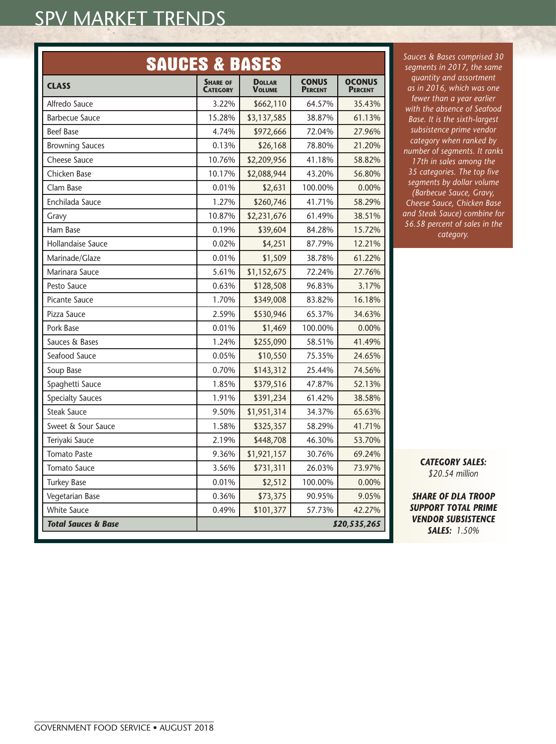| <b>SAUCES &amp; BASES</b>      |                                    |                                |                                |                                 |
|--------------------------------|------------------------------------|--------------------------------|--------------------------------|---------------------------------|
| <b>CLASS</b>                   | <b>SHARE OF</b><br><b>CATEGORY</b> | <b>DOLLAR</b><br><b>VOLUME</b> | <b>CONUS</b><br><b>PERCENT</b> | <b>OCONUS</b><br><b>PERCENT</b> |
| Alfredo Sauce                  | 3.22%                              | \$662,110                      | 64.57%                         | 35.43%                          |
| <b>Barbecue Sauce</b>          | 15.28%                             | \$3,137,585                    | 38.87%                         | 61.13%                          |
| <b>Beef Base</b>               | 4.74%                              | \$972,666                      | 72.04%                         | 27.96%                          |
| <b>Browning Sauces</b>         | 0.13%                              | \$26,168                       | 78.80%                         | 21.20%                          |
| <b>Cheese Sauce</b>            | 10.76%                             | \$2,209,956                    | 41.18%                         | 58.82%                          |
| Chicken Base                   | 10.17%                             | \$2,088,944                    | 43.20%                         | 56.80%                          |
| Clam Base                      | 0.01%                              | \$2,631                        | 100.00%                        | 0.00%                           |
| Enchilada Sauce                | 1.27%                              | \$260,746                      | 41.71%                         | 58.29%                          |
| Gravy                          | 10.87%                             | \$2,231,676                    | 61.49%                         | 38.51%                          |
| Ham Base                       | 0.19%                              | \$39,604                       | 84.28%                         | 15.72%                          |
| Hollandaise Sauce              | 0.02%                              | \$4,251                        | 87.79%                         | 12.21%                          |
| Marinade/Glaze                 | 0.01%                              | \$1,509                        | 38.78%                         | 61.22%                          |
| Marinara Sauce                 | 5.61%                              | \$1,152,675                    | 72.24%                         | 27.76%                          |
| Pesto Sauce                    | 0.63%                              | \$128,508                      | 96.83%                         | 3.17%                           |
| Picante Sauce                  | 1.70%                              | \$349,008                      | 83.82%                         | 16.18%                          |
| Pizza Sauce                    | 2.59%                              | \$530,946                      | 65.37%                         | 34.63%                          |
| Pork Base                      | 0.01%                              | \$1,469                        | 100.00%                        | 0.00%                           |
| Sauces & Bases                 | 1.24%                              | \$255,090                      | 58.51%                         | 41.49%                          |
| Seafood Sauce                  | 0.05%                              | \$10,550                       | 75.35%                         | 24.65%                          |
| Soup Base                      | 0.70%                              | \$143,312                      | 25.44%                         | 74.56%                          |
| Spaghetti Sauce                | 1.85%                              | \$379,516                      | 47.87%                         | 52.13%                          |
| <b>Specialty Sauces</b>        | 1.91%                              | \$391,234                      | 61.42%                         | 38.58%                          |
| <b>Steak Sauce</b>             | 9.50%                              | \$1,951,314                    | 34.37%                         | 65.63%                          |
| Sweet & Sour Sauce             | 1.58%                              | \$325,357                      | 58.29%                         | 41.71%                          |
| Teriyaki Sauce                 | 2.19%                              | \$448,708                      | 46.30%                         | 53.70%                          |
| <b>Tomato Paste</b>            | 9.36%                              | \$1,921,157                    | 30.76%                         | 69.24%                          |
| <b>Tomato Sauce</b>            | 3.56%                              | \$731,311                      | 26.03%                         | 73.97%                          |
| <b>Turkey Base</b>             | 0.01%                              | \$2,512                        | 100.00%                        | 0.00%                           |
| Vegetarian Base                | 0.36%                              | \$73,375                       | 90.95%                         | 9.05%                           |
| <b>White Sauce</b>             | 0.49%                              | \$101,377                      | 57.73%                         | 42.27%                          |
| <b>Total Sauces &amp; Base</b> |                                    |                                |                                | \$20,535,265                    |

*Sauces & Bases comprised 30 segments in 2017, the same quantity and assortment as in 2016, which was one fewer than a year earlier with the absence of Seafood Base. It is the sixth-largest subsistence prime vendor category when ranked by number of segments. It ranks 17th in sales among the 35 categories. The top five segments by dollar volume (Barbecue Sauce, Gravy, Cheese Sauce, Chicken Base and Steak Sauce) combine for 56.58 percent of sales in the category.*

> *CATEGORY SALES: \$20.54 million*

*SHARE OF DLA TROOP SUPPORT TOTAL PRIME VENDOR SUBSISTENCE SALES: 1.50%*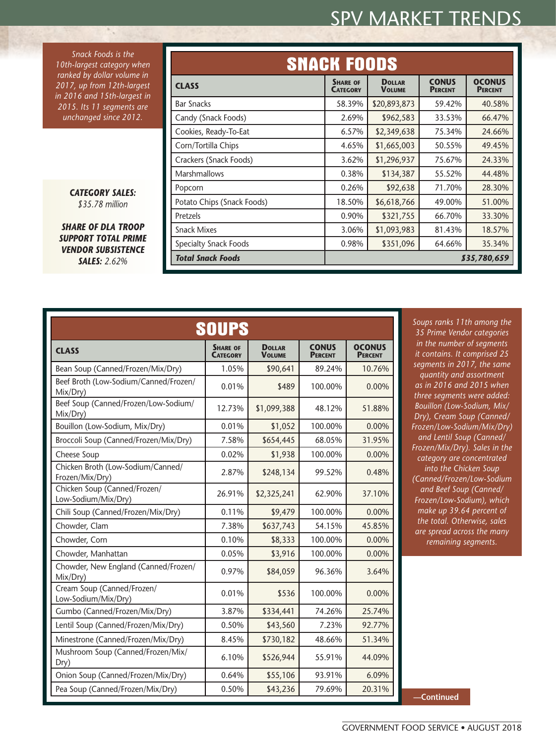*Snack Foods is the 10th-largest category when ranked by dollar volume in 2017, up from 12th-largest in 2016 and 15th-largest in 2015. Its 11 segments are unchanged since 2012.*

> *CATEGORY SALES: \$35.78 million*

*SHARE OF DLA TROOP SUPPORT TOTAL PRIME VENDOR SUBSISTENCE SALES: 2.62%*

|                              | <b>SNACK FOODS</b>                 |                                |                                |                                 |
|------------------------------|------------------------------------|--------------------------------|--------------------------------|---------------------------------|
| <b>CLASS</b>                 | <b>SHARE OF</b><br><b>CATEGORY</b> | <b>DOLLAR</b><br><b>VOLUME</b> | <b>CONUS</b><br><b>PERCENT</b> | <b>OCONUS</b><br><b>PERCENT</b> |
| <b>Bar Snacks</b>            | 58.39%                             | \$20,893,873                   | 59.42%                         | 40.58%                          |
| Candy (Snack Foods)          | 2.69%                              | \$962,583                      | 33.53%                         | 66.47%                          |
| Cookies, Ready-To-Eat        | 6.57%                              | \$2,349,638                    | 75.34%                         | 24.66%                          |
| Corn/Tortilla Chips          | 4.65%                              | \$1,665,003                    | 50.55%                         | 49.45%                          |
| Crackers (Snack Foods)       | 3.62%                              | \$1,296,937                    | 75.67%                         | 24.33%                          |
| <b>Marshmallows</b>          | 0.38%                              | \$134,387                      | 55.52%                         | 44.48%                          |
| Popcorn                      | 0.26%                              | \$92,638                       | 71.70%                         | 28.30%                          |
| Potato Chips (Snack Foods)   | 18.50%                             | \$6,618,766                    | 49.00%                         | 51.00%                          |
| Pretzels                     | 0.90%                              | \$321,755                      | 66.70%                         | 33.30%                          |
| <b>Snack Mixes</b>           | 3.06%                              | \$1,093,983                    | 81.43%                         | 18.57%                          |
| <b>Specialty Snack Foods</b> | 0.98%                              | \$351,096                      | 64.66%                         | 35.34%                          |
| <b>Total Snack Foods</b>     | 835,780,659                        |                                |                                |                                 |

|                                                      | <b>SOUPS</b>                       |                                |                                |                                 |
|------------------------------------------------------|------------------------------------|--------------------------------|--------------------------------|---------------------------------|
| <b>CLASS</b>                                         | <b>SHARE OF</b><br><b>CATEGORY</b> | <b>DOLLAR</b><br><b>VOLUME</b> | <b>CONUS</b><br><b>PERCENT</b> | <b>OCONUS</b><br><b>PERCENT</b> |
| Bean Soup (Canned/Frozen/Mix/Dry)                    | 1.05%                              | \$90,641                       | 89.24%                         | 10.76%                          |
| Beef Broth (Low-Sodium/Canned/Frozen/<br>Mix/Dry)    | 0.01%                              | \$489                          | 100.00%                        | $0.00\%$                        |
| Beef Soup (Canned/Frozen/Low-Sodium/<br>Mix/Dry)     | 12.73%                             | \$1,099,388                    | 48.12%                         | 51.88%                          |
| Bouillon (Low-Sodium, Mix/Dry)                       | 0.01%                              | \$1,052                        | 100.00%                        | 0.00%                           |
| Broccoli Soup (Canned/Frozen/Mix/Dry)                | 7.58%                              | \$654,445                      | 68.05%                         | 31.95%                          |
| Cheese Soup                                          | 0.02%                              | \$1,938                        | 100.00%                        | 0.00%                           |
| Chicken Broth (Low-Sodium/Canned/<br>Frozen/Mix/Dry) | 2.87%                              | \$248,134                      | 99.52%                         | 0.48%                           |
| Chicken Soup (Canned/Frozen/<br>Low-Sodium/Mix/Dry)  | 26.91%                             | \$2,325,241                    | 62.90%                         | 37.10%                          |
| Chili Soup (Canned/Frozen/Mix/Dry)                   | 0.11%                              | \$9,479                        | 100.00%                        | 0.00%                           |
| Chowder, Clam                                        | 7.38%                              | \$637,743                      | 54.15%                         | 45.85%                          |
| Chowder, Corn                                        | 0.10%                              | \$8,333                        | 100.00%                        | $0.00\%$                        |
| Chowder, Manhattan                                   | 0.05%                              | \$3,916                        | 100.00%                        | 0.00%                           |
| Chowder, New England (Canned/Frozen/<br>Mix/Dry)     | 0.97%                              | \$84,059                       | 96.36%                         | 3.64%                           |
| Cream Soup (Canned/Frozen/<br>Low-Sodium/Mix/Dry)    | 0.01%                              | \$536                          | 100.00%                        | 0.00%                           |
| Gumbo (Canned/Frozen/Mix/Dry)                        | 3.87%                              | \$334,441                      | 74.26%                         | 25.74%                          |
| Lentil Soup (Canned/Frozen/Mix/Dry)                  | 0.50%                              | \$43,560                       | 7.23%                          | 92.77%                          |
| Minestrone (Canned/Frozen/Mix/Dry)                   | 8.45%                              | \$730,182                      | 48.66%                         | 51.34%                          |
| Mushroom Soup (Canned/Frozen/Mix/<br>Dry)            | 6.10%                              | \$526,944                      | 55.91%                         | 44.09%                          |
| Onion Soup (Canned/Frozen/Mix/Dry)                   | 0.64%                              | \$55,106                       | 93.91%                         | 6.09%                           |
| Pea Soup (Canned/Frozen/Mix/Dry)                     | 0.50%                              | \$43,236                       | 79.69%                         | 20.31%                          |

*Soups ranks 11th among the 35 Prime Vendor categories in the number of segments it contains. It comprised 25 segments in 2017, the same quantity and assortment as in 2016 and 2015 when three segments were added: Bouillon (Low-Sodium, Mix/ Dry), Cream Soup (Canned/ Frozen/Low-Sodium/Mix/Dry) and Lentil Soup (Canned/ Frozen/Mix/Dry). Sales in the category are concentrated into the Chicken Soup (Canned/Frozen/Low-Sodium and Beef Soup (Canned/ Frozen/Low-Sodium), which make up 39.64 percent of the total. Otherwise, sales are spread across the many remaining segments.*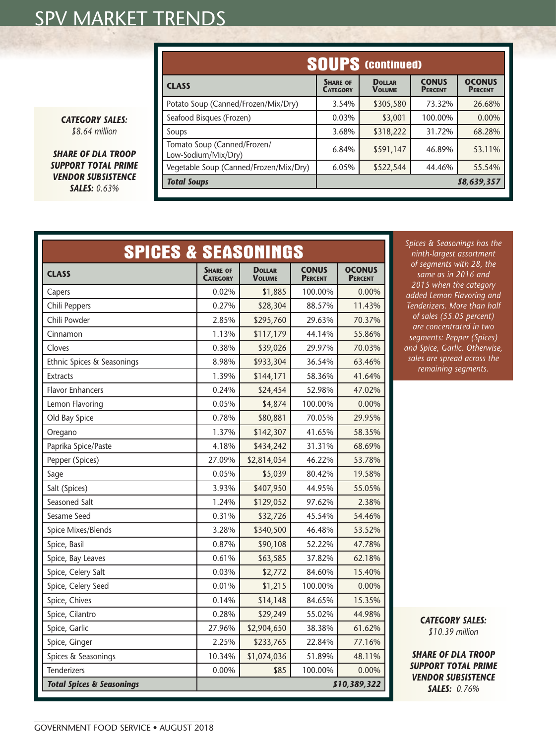| <b>CATEGORY SALES:</b> |  |
|------------------------|--|
| \$8.64 million         |  |

*SHARE OF DLA TROOP SUPPORT TOTAL PRIME VENDOR SUBSISTENCE SALES: 0.63%*

|                                      | <b>SPICES &amp; SEASONINGS</b>     |                                |                                |                                 |  |
|--------------------------------------|------------------------------------|--------------------------------|--------------------------------|---------------------------------|--|
| <b>CLASS</b>                         | <b>SHARE OF</b><br><b>CATEGORY</b> | <b>DOLLAR</b><br><b>VOLUME</b> | <b>CONUS</b><br><b>PERCENT</b> | <b>OCONUS</b><br><b>PERCENT</b> |  |
| Capers                               | 0.02%                              | \$1,885                        | 100.00%                        | 0.00%                           |  |
| Chili Peppers                        | 0.27%                              | \$28,304                       | 88.57%                         | 11.43%                          |  |
| Chili Powder                         | 2.85%                              | \$295,760                      | 29.63%                         | 70.37%                          |  |
| Cinnamon                             | 1.13%                              | \$117,179                      | 44.14%                         | 55.86%                          |  |
| Cloves                               | 0.38%                              | \$39,026                       | 29.97%                         | 70.03%                          |  |
| Ethnic Spices & Seasonings           | 8.98%                              | \$933,304                      | 36.54%                         | 63.46%                          |  |
| <b>Extracts</b>                      | 1.39%                              | \$144,171                      | 58.36%                         | 41.64%                          |  |
| <b>Flavor Enhancers</b>              | 0.24%                              | \$24,454                       | 52.98%                         | 47.02%                          |  |
| Lemon Flavoring                      | 0.05%                              | \$4,874                        | 100.00%                        | 0.00%                           |  |
| Old Bay Spice                        | 0.78%                              | \$80,881                       | 70.05%                         | 29.95%                          |  |
| Oregano                              | 1.37%                              | \$142,307                      | 41.65%                         | 58.35%                          |  |
| Paprika Spice/Paste                  | 4.18%                              | \$434,242                      | 31.31%                         | 68.69%                          |  |
| Pepper (Spices)                      | 27.09%                             | \$2,814,054                    | 46.22%                         | 53.78%                          |  |
| Sage                                 | 0.05%                              | \$5,039                        | 80.42%                         | 19.58%                          |  |
| Salt (Spices)                        | 3.93%                              | \$407,950                      | 44.95%                         | 55.05%                          |  |
| Seasoned Salt                        | 1.24%                              | \$129,052                      | 97.62%                         | 2.38%                           |  |
| Sesame Seed                          | 0.31%                              | \$32,726                       | 45.54%                         | 54.46%                          |  |
| Spice Mixes/Blends                   | 3.28%                              | \$340,500                      | 46.48%                         | 53.52%                          |  |
| Spice, Basil                         | 0.87%                              | \$90,108                       | 52.22%                         | 47.78%                          |  |
| Spice, Bay Leaves                    | 0.61%                              | \$63,585                       | 37.82%                         | 62.18%                          |  |
| Spice, Celery Salt                   | 0.03%                              | \$2,772                        | 84.60%                         | 15.40%                          |  |
| Spice, Celery Seed                   | 0.01%                              | \$1,215                        | 100.00%                        | 0.00%                           |  |
| Spice, Chives                        | 0.14%                              | \$14,148                       | 84.65%                         | 15.35%                          |  |
| Spice, Cilantro                      | 0.28%                              | \$29,249                       | 55.02%                         | 44.98%                          |  |
| Spice, Garlic                        | 27.96%                             | \$2,904,650                    | 38.38%                         | 61.62%                          |  |
| Spice, Ginger                        | 2.25%                              | \$233,765                      | 22.84%                         | 77.16%                          |  |
| Spices & Seasonings                  | 10.34%                             | \$1,074,036                    | 51.89%                         | 48.11%                          |  |
| <b>Tenderizers</b>                   | 0.00%                              | \$85                           | 100.00%                        | 0.00%                           |  |
| <b>Total Spices &amp; Seasonings</b> |                                    | \$10,389,322                   |                                |                                 |  |

*Spices & Seasonings has the ninth-largest assortment of segments with 28, the same as in 2016 and 2015 when the category added Lemon Flavoring and Tenderizers. More than half of sales (55.05 percent) are concentrated in two segments: Pepper (Spices) and Spice, Garlic. Otherwise, sales are spread across the remaining segments.*

**SOUPS (continued)**

**Dollar Volume** **CONUS PERCENT**  **OCONUS Percent**

**CATEGORY** 

Potato Soup (Canned/Frozen/Mix/Dry) | 3.54% | \$305,580 | 73.32% | 26.68% Seafood Bisques (Frozen)  $\begin{array}{|c|c|c|c|c|c|c|c|c|} \hline 0.03\% & \text{ $$3,001} & 100.00\% & 0.00\% \hline \end{array}$ Soups 3.68% \$318,222 31.72% 68.28%

Tomato Soup (Canned/Frozen/ 6.84% 5591,147 46.89% 53.11% Vegetable Soup (Canned/Frozen/Mix/Dry) 6.05% \$522,544 44.46% 55.54% *Total Soups \$8,639,357* 

**CLASS SHARE** OF **SHARE** OF **SHARE** OF

Tomato Soup (Canned/Frozen/

*CATEGORY SALES: \$10.39 million*

*SHARE OF DLA TROOP SUPPORT TOTAL PRIME VENDOR SUBSISTENCE SALES: 0.76%*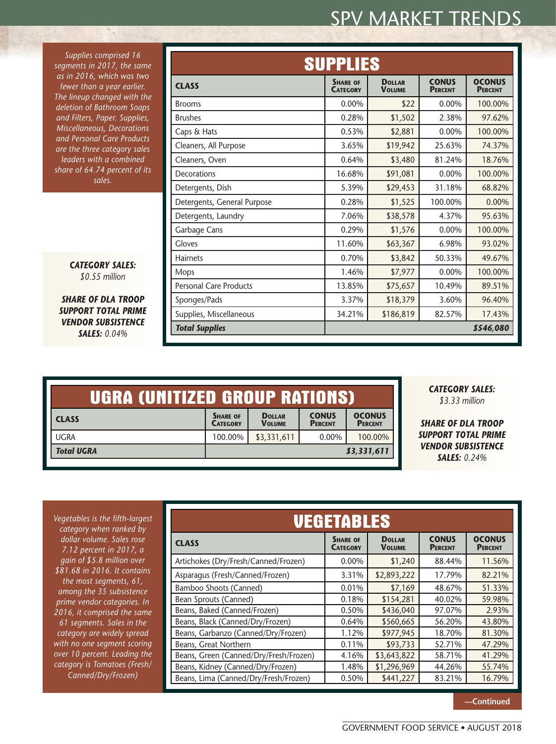*Supplies comprised 16 segments in 2017, the same as in 2016, which was two fewer than a year earlier. The lineup changed with the deletion of Bathroom Soaps and Filters, Paper. Supplies, Miscellaneous, Decorations and Personal Care Products are the three category sales leaders with a combined share of 64.74 percent of its sales.*

> *CATEGORY SALES: \$0.55 million*

*SHARE OF DLA TROOP SUPPORT TOTAL PRIME VENDOR SUBSISTENCE SALES: 0.04%*

| <b>SUPPLIES</b>               |                                    |                                |                                |                                 |
|-------------------------------|------------------------------------|--------------------------------|--------------------------------|---------------------------------|
| <b>CLASS</b>                  | <b>SHARE OF</b><br><b>CATEGORY</b> | <b>DOLLAR</b><br><b>VOLUME</b> | <b>CONUS</b><br><b>PERCENT</b> | <b>OCONUS</b><br><b>PERCENT</b> |
| <b>Brooms</b>                 | 0.00%                              | \$22                           | 0.00%                          | 100.00%                         |
| <b>Brushes</b>                | 0.28%                              | \$1,502                        | 2.38%                          | 97.62%                          |
| Caps & Hats                   | 0.53%                              | \$2,881                        | 0.00%                          | 100.00%                         |
| Cleaners, All Purpose         | 3.65%                              | \$19,942                       | 25.63%                         | 74.37%                          |
| Cleaners, Oven                | 0.64%                              | \$3,480                        | 81.24%                         | 18.76%                          |
| Decorations                   | 16.68%                             | \$91,081                       | 0.00%                          | 100.00%                         |
| Detergents, Dish              | 5.39%                              | \$29,453                       | 31.18%                         | 68.82%                          |
| Detergents, General Purpose   | 0.28%                              | \$1,525                        | 100.00%                        | 0.00%                           |
| Detergents, Laundry           | 7.06%                              | \$38,578                       | 4.37%                          | 95.63%                          |
| Garbage Cans                  | 0.29%                              | \$1,576                        | 0.00%                          | 100.00%                         |
| Gloves                        | 11.60%                             | \$63,367                       | 6.98%                          | 93.02%                          |
| <b>Hairnets</b>               | 0.70%                              | \$3,842                        | 50.33%                         | 49.67%                          |
| <b>Mops</b>                   | 1.46%                              | \$7,977                        | 0.00%                          | 100.00%                         |
| <b>Personal Care Products</b> | 13.85%                             | \$75,657                       | 10.49%                         | 89.51%                          |
| Sponges/Pads                  | 3.37%                              | \$18,379                       | 3.60%                          | 96.40%                          |
| Supplies, Miscellaneous       | 34.21%                             | \$186,819                      | 82.57%                         | 17.43%                          |
| <b>Total Supplies</b>         |                                    |                                |                                | 8546,080                        |

| UGRA (UNITIZED GROUP RATIONS) |                                    |                                |                                |                                 |
|-------------------------------|------------------------------------|--------------------------------|--------------------------------|---------------------------------|
| <b>CLASS</b>                  | <b>SHARE OF</b><br><b>CATEGORY</b> | <b>DOLLAR</b><br><b>VOLUME</b> | <b>CONUS</b><br><b>PERCENT</b> | <b>OCONUS</b><br><b>PERCENT</b> |
| <b>UGRA</b>                   | 100.00%                            | \$3,331,611                    | 0.00%                          | 100.00%                         |
| <b>Total UGRA</b>             | 83,331,611                         |                                |                                |                                 |

*CATEGORY SALES: \$3.33 million*

*SHARE OF DLA TROOP SUPPORT TOTAL PRIME VENDOR SUBSISTENCE SALES: 0.24%*

*Vegetables is the fifth-largest category when ranked by dollar volume. Sales rose 7.12 percent in 2017, a gain of \$5.8 million over \$81.68 in 2016. It contains the most segments, 61, among the 35 subsistence prime vendor categories. In 2016, it comprised the same 61 segments. Sales in the category are widely spread with no one segment scoring over 10 percent. Leading the category is Tomatoes (Fresh/ Canned/Dry/Frozen)* 

| <b>VEGETABLES</b>                      |                                    |                                |                                |                                 |
|----------------------------------------|------------------------------------|--------------------------------|--------------------------------|---------------------------------|
| <b>CLASS</b>                           | <b>SHARE OF</b><br><b>CATEGORY</b> | <b>DOLLAR</b><br><b>VOLUME</b> | <b>CONUS</b><br><b>PERCENT</b> | <b>OCONUS</b><br><b>PERCENT</b> |
| Artichokes (Dry/Fresh/Canned/Frozen)   | $0.00\%$                           | \$1,240                        | 88.44%                         | 11.56%                          |
| Asparagus (Fresh/Canned/Frozen)        | 3.31%                              | \$2,893,222                    | 17.79%                         | 82.21%                          |
| Bamboo Shoots (Canned)                 | 0.01%                              | \$7,169                        | 48.67%                         | 51.33%                          |
| Bean Sprouts (Canned)                  | 0.18%                              | \$154,281                      | 40.02%                         | 59.98%                          |
| Beans, Baked (Canned/Frozen)           | 0.50%                              | \$436,040                      | 97.07%                         | 2.93%                           |
| Beans, Black (Canned/Dry/Frozen)       | 0.64%                              | \$560,665                      | 56.20%                         | 43.80%                          |
| Beans, Garbanzo (Canned/Dry/Frozen)    | 1.12%                              | \$977,945                      | 18.70%                         | 81.30%                          |
| Beans, Great Northern                  | 0.11%                              | \$93,733                       | 52.71%                         | 47.29%                          |
| Beans, Green (Canned/Dry/Fresh/Frozen) | 4.16%                              | \$3,643,822                    | 58.71%                         | 41.29%                          |
| Beans, Kidney (Canned/Dry/Frozen)      | 1.48%                              | \$1,296,969                    | 44.26%                         | 55.74%                          |
| Beans, Lima (Canned/Dry/Fresh/Frozen)  | 0.50%                              | \$441,227                      | 83.21%                         | 16.79%                          |